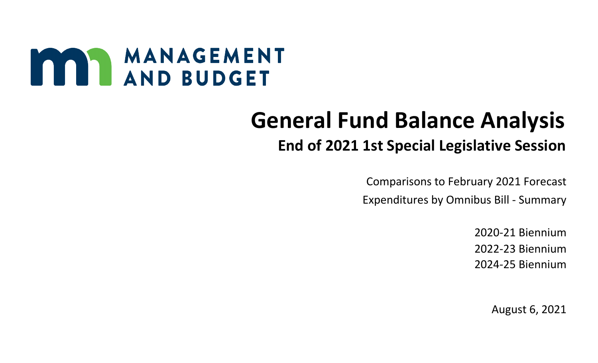# MANAGEMENT

## **General Fund Balance Analysis End of 2021 1st Special Legislative Session**

 Comparisons to February 2021 Forecast Expenditures by Omnibus Bill - Summary

> 2020-21 Biennium 2022-23 Biennium 2024-25 Biennium

> > August 6, 2021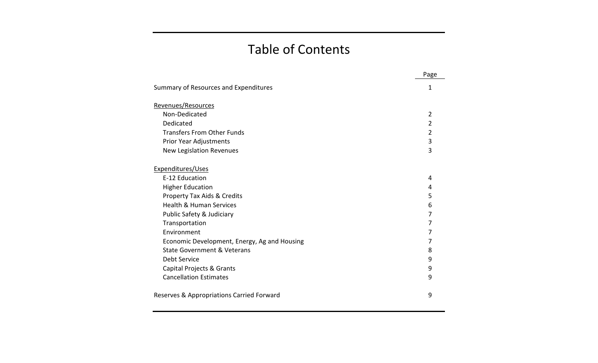## Table of Contents

|                                              | Page           |
|----------------------------------------------|----------------|
| Summary of Resources and Expenditures        | 1              |
| Revenues/Resources                           |                |
| Non-Dedicated                                | 2              |
| Dedicated                                    | 2              |
| <b>Transfers From Other Funds</b>            | $\overline{2}$ |
| Prior Year Adjustments                       | 3              |
| <b>New Legislation Revenues</b>              | 3              |
| Expenditures/Uses                            |                |
| E-12 Education                               | 4              |
| <b>Higher Education</b>                      | 4              |
| <b>Property Tax Aids &amp; Credits</b>       | 5              |
| <b>Health &amp; Human Services</b>           | 6              |
| Public Safety & Judiciary                    | 7              |
| Transportation                               | 7              |
| Environment                                  | 7              |
| Economic Development, Energy, Ag and Housing | 7              |
| <b>State Government &amp; Veterans</b>       | 8              |
| Debt Service                                 | 9              |
| Capital Projects & Grants                    | 9              |
| <b>Cancellation Estimates</b>                | 9              |
| Reserves & Appropriations Carried Forward    | 9              |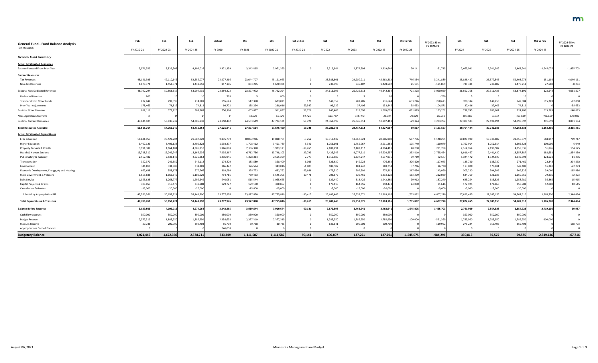| <b>General Fund - Fund Balance Analysis</b>  | Feb        | Feb        | Feb        | Actual         | <b>SS1</b> | <b>SS1</b> | SS1 vs Feb | <b>SS1</b> | $SS1$      | <b>SS1</b> | SS1 vs Feb   | FY 2022-23 vs<br>FY 2020-21 | <b>SS1</b>  | <b>SS1</b> | <b>SS1</b> | SS1 vs Feb   | FY 2024-25 vs<br>FY 2022-23 |
|----------------------------------------------|------------|------------|------------|----------------|------------|------------|------------|------------|------------|------------|--------------|-----------------------------|-------------|------------|------------|--------------|-----------------------------|
| (\$ in Thousands)                            | FY 2020-21 | FY 2022-23 | FY 2024-25 | FY 2020        | FY 2021    | FY 2020-21 | FY 2020-21 | FY 2022    | FY 2023    | FY 2022-23 | FY 2022-23   |                             | FY 2024     | FY 2025    | FY 2024-25 | FY 2024-25   |                             |
| <b>General Fund Summary</b>                  |            |            |            |                |            |            |            |            |            |            |              |                             |             |            |            |              |                             |
| <b>Actual &amp; Estimated Resources</b>      |            |            |            |                |            |            |            |            |            |            |              |                             |             |            |            |              |                             |
| Balance Forward From Prior Year              | 3,971,359  | 3,829,503  | 4,109,016  | 3,971,359      | 3,343,865  | 3,971,359  |            | 3,919,644  | 2,872,598  | 3,919,644  | 90,14        | $-51,715$                   | 2,463,941   | 2,741,989  | 2,463,941  | $-1,645,075$ | $-1,455,703$                |
| <b>Current Resources:</b>                    |            |            |            |                |            |            |            |            |            |            |              |                             |             |            |            |              |                             |
| <b>Tax Revenues</b>                          | 45,121,923 | 49,110,146 | 52,555,07  | 22,077,216     | 23,044,707 | 45,121,923 |            | 23,383,601 | 24,980,211 | 48,363,81  | $-746,334$   | 3,241,88                    | 25,826,427  | 26,577,546 | 52,403,973 | $-151,104$   | 4,040,161                   |
| <b>Non-Tax Revenues</b>                      | 1,670,371  | 1,453,371  | 1,442,658  | 817,106        | 853,265    | 1,670,371  |            | 733,395    | 745,107    | 1,478,502  | 25,131       | $-191,869$                  | 736,331     | 733,887    | 1,470,218  | 27,560       | $-8,284$                    |
| Subtotal Non-Dedicated Revenues              | 46,792,294 | 50,563,517 | 53,997,735 | 22,894,322     | 23,897,972 | 46,792,294 |            | 24,116,996 | 25,725,318 | 49,842,314 | $-721,203$   | 3,050,020                   | 26,562,758  | 27,311,433 | 53,874,191 | $-123,544$   | 4,031,877                   |
| <b>Dedicated Revenue</b>                     | 800        |            |            | 795            |            | 800        |            |            |            |            |              | $-790$                      |             |            |            |              |                             |
| Transfers From Other Funds                   | 672,842    | 298,398    | 234,381    | 155,643        | 517,378    | 673,021    |            | 149,359    | 782,285    | 931,644    | 633,246      | 258,623                     | 700,334     | 149,250    | 849,584    | 615,203      | $-82,060$                   |
| Prior Year Adjustments                       | 178,469    | 74,812     | 74,812     | 99,722         | 138,294    | 238,016    | 59,547     | 96,039     | 37,406     | 133,445    | 58,633       | $-104,571$                  | 37,406      | 37,406     | 74,812     |              | $-58,633$                   |
| Subtotal Other Revenue                       | 852,111    | 373,220    | 309,203    | 256,160        | 655,677    | 911,837    | 59,726     | 245,403    | 819,696    | 1,065,099  | 691,879      | 153,262                     | 737,745     | 186,661    | 924,406    | 615,203      | $-140,693$                  |
| <b>New Legislation Revenues</b>              |            |            |            | $\overline{a}$ | 59,726     | 59,726     | 59,726     | $-605,797$ | 576,473    | $-29,324$  | $-29,324$    | $-89,050$                   | 485,986     | 5,673      | 491,659    | 491,659      | 520,983                     |
| <b>Subtotal Current Resources</b>            | 47,644,405 | 50,936,737 | 54,306,938 | 23,150,482     | 24,553,649 | 47,704,131 | 59,726     | 24,362,399 | 26,545,014 | 50,907,41  | $-29,324$    | 3,203,282                   | 27,300,503  | 27,498,094 | 54,798,597 | 491,659      | 3,891,184                   |
| <b>Total Resources Available</b>             | 51,615,764 | 54,766,240 | 58,415,954 | 27,121,841     | 27,897,514 | 51,675,490 | 59,726     | 28,282,043 | 29,417,612 | 54,827,057 | 60,817       | 3,151,567                   | 29,764,444  | 30,240,083 | 57,262,538 | $-1,153,416$ | 2,435,481                   |
| <b>Actual &amp; Estimated Expenditures</b>   |            |            |            |                |            |            |            |            |            |            |              |                             |             |            |            |              |                             |
| E-12 Education                               | 19,841,957 | 20,429,204 | 21,087,720 | 9,835,739      | 10,002,966 | 19,838,705 | $-3,252$   | 10,319,437 | 10,667,523 | 20,986,960 | 557,756      | 1,148,255                   | 10,820,990  | 10,935,687 | 21,756,677 | 668,957      | 769,717                     |
| <b>Higher Education</b>                      | 3,407,129  | 3,406,128  | 3,405,828  | 1,693,377      | 1,708,412  | 3,401,789  | $-5,340$   | 1,756,101  | 1,755,767  | 3,511,868  | 105,740      | 110,079                     | 1,752,914   | 1,752,914  | 3,505,828  | 100,000      | $-6,040$                    |
| Property Tax Aids & Credits                  | 3,991,388  | 4,164,181  | 4,306,710  | 1,866,803      | 2,106,320  | 3,973,123  | $-18,265$  | 2,101,294  | 2,103,117  | 4,204,41   | 40,230       | 231,288                     | 2,164,954   | 2,193,582  | 4,358,536  | 51,826       | 154,125                     |
| Health & Human Services                      | 13,718,310 | 16,249,747 | 18,169,236 | 7,035,367      | 6,712,736  | 13,748,103 | 29,793     | 7,425,947  | 9,077,610  | 16,503,55  | 253,810      | 2,755,454                   | 8,916,467   | 9,441,420  | 18,357,887 | 188,651      | 1,854,330                   |
| Public Safety & Judiciary                    | 2,562,482  | 2,538,147  | 2,525,864  | 1,236,945      | 1,328,314  | 2,565,259  | 2,77       | 1,310,689  | 1,327,247  | 2,637,93   | 99,789       | 72,677                      | 1,324,472   | 1,324,920  | 2,649,392  | 123,528      | 11,456                      |
| Transportation                               | 352,370    | 249,552    | 249,112    | 174,820        | 183,589    | 358,409    | 6,039      | 326,630    | 149,722    | 476,352    | 226,800      | 117,943                     | 135,730     | 135,730    | 271,460    | 22,348       | $-204,892$                  |
| Environment                                  | 344,819    | 331,988    | 331,101    | 166,422        | 176,594    | 343,016    | $-1,803$   | 188,507    | 181,247    | 369,754    | 37,766       | 26,738                      | 173,800     | 173,681    | 347,481    | 16,380       | $-22,273$                   |
| Economic Development, Energy, Ag and Housing | 662,638    | 558,178    | 570,766    | 303,980        | 328,772    | 632,752    | $-29,88$   | 476,310    | 299,502    | 775,812    | 217,634      | 143,060                     | 305,230     | 304,596    | 609,826    | 39,060       | $-165,986$                  |
| State Government & Veterans                  | 1,555,686  | 1,169,849  | 1,180,920  | 794,715        | 750,493    | 1,545,208  | $-10,478$  | 703,672    | 629,456    | 1,333,128  | 163,279      | $-212,080$                  | 634,719     | 626,036    | 1,260,755  | 79,835       | $-72,373$                   |
| Debt Service                                 | 1,055,625  | 1,263,777  | 1,295,645  | 540,081        | 515,544    | 1,055,625  |            | 629,440    | 613,425    | 1,242,865  | $-20,912$    | 187,240                     | 625,254     | 633,526    | 1,258,780  | $-36,865$    | 15,915                      |
| Capital Projects & Grants                    | 308,857    | 316,473    | 338,988    | 129,727        | 179,130    | 308,857    |            | 176,418    | 164,055    | 340,47     | 24,000       | 31,616                      | 172,925     | 178,063    | 350,988    | 12,000       | 10,515                      |
| <b>Cancellation Estimates</b>                | $-15,000$  | $-20,000$  | $-20,000$  |                | $-15,000$  | $-15,000$  |            | $-5,000$   | $-15,000$  | $-20,000$  |              | $-5,000$                    | $-5,000$    | $-15,000$  | $-20,000$  |              |                             |
| Subtotal by Appropriation Bill               | 47,786,261 | 50,657,224 | 53,441,890 | 23,777,976     | 23,977,870 | 47,755,846 | $-30,41$   | 25,409,445 | 26,953,671 | 52,363,11  | 1,705,892    | 4,607,270                   | 27,022,455  | 27,685,155 | 54,707,610 | 1,265,720    | 2,344,494                   |
| <b>Total Expenditures &amp; Transfers</b>    | 47,786,261 | 50,657,224 | 53,441,890 | 23,777,976     | 23,977,870 | 47,755,846 | $-30,415$  | 25,409,445 | 26,953,671 | 52,363,116 | 1,705,892    | 4,607,270                   | 27,022,455  | 27,685,155 | 54,707,610 | 1,265,720    | 2,344,494                   |
| <b>Balance Before Reserves</b>               | 3,829,503  | 4,109,016  | 4,974,064  | 3,343,865      | 3,919,644  | 3,919,644  | 90,141     | 2,872,598  | 2,463,941  | 2,463,941  | $-1,645,075$ | $-1,455,703$                | 2,741,989   | 2,554,928  | 2,554,928  | $-2,419,136$ | 90,987                      |
| Cash Flow Account                            | 350,000    | 350,000    | 350,000    | 350,000        | 350,000    | 350,000    |            | 350,000    | 350,000    | 350,000    |              |                             | 350,000     | 350,000    | 350,000    |              |                             |
| <b>Budget Reserve</b>                        | 2,377,319  | 1,885,950  | 1,885,950  | 2,358,698      | 2,377,319  | 2,377,319  |            | 1,785,950  | 1,785,950  | 1,785,950  | $-100,000$   | $-591,369$                  | 1,785,950   | 1,785,950  | 1,785,950  | $-100,000$   |                             |
| <b>Stadium Reserve</b>                       | 80,738     | 200,700    | 359,403    | 55,700         | 80,738     | 80,738     |            | 135,841    | 200,700    | 200,700    |              | 119,962                     | 275,224     | 359,403    | 359,403    |              | 158,703                     |
| <b>Appropriations Carried Forward</b>        |            |            |            | 246,058        |            |            |            | <u>ີດ</u>  | $\Omega$   |            |              |                             | $\mathbf 0$ |            |            |              |                             |
| <b>Budgetary Balance</b>                     | 1,021,446  | 1,672,366  | 2,378,711  | 333,409        | 1,111,587  | 1,111,587  | 90,141     | 600,807    | 127,291    | 127,291    | $-1,545,075$ | $-984,296$                  | 330,815     | 59,575     | 59,575     | $-2,319,136$ | $-67,716$                   |

| 4,040,161  |
|------------|
| $-8,284$   |
| 4,031,877  |
| 0          |
| -82,060    |
| $-58,633$  |
| $-140,693$ |
| 520,983    |
| 3,891,184  |
| 2,435,481  |

| 0<br>0<br>158,703<br>0 |
|------------------------|
|                        |
|                        |
|                        |
|                        |
| 90,987                 |
| 2,344,494              |
| 2,344,494              |
| 0                      |
| 10,515                 |
| 15,915                 |
| $-72,373$              |
| $-165,986$             |
| $-22,273$              |
| $-204,892$             |
| 11,456                 |
| 1,854,330              |
| 154,125                |
|                        |
| $-6,040$               |

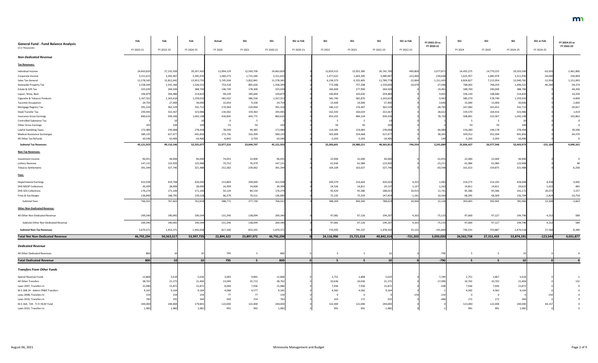| <b>General Fund - Fund Balance Analysis</b><br>(\$ in Thousands) | Feb        | Feb                    | Feb                     | <b>Actual</b> | <b>SS1</b> | <b>SS1</b>              | SS1 vs Feb | <b>SS1</b> | <b>SS1</b> | <b>SS1</b>              | SS1 vs Feb | FY 2022-23 vs<br>FY 2020-21 | SS1                    | <b>SS1</b> | <b>SS1</b>             | SS1 vs Feb | FY 2024-25 vs<br>FY 2022-23 |
|------------------------------------------------------------------|------------|------------------------|-------------------------|---------------|------------|-------------------------|------------|------------|------------|-------------------------|------------|-----------------------------|------------------------|------------|------------------------|------------|-----------------------------|
|                                                                  | FY 2020-21 | FY 2022-23             | FY 2024-25              | FY 2020       | FY 2021    | FY 2020-21              | FY 2020-21 | FY 2022    | FY 2023    | FY 2022-23              | FY 2022-23 |                             | FY 2024                | FY 2025    | FY 2024-25             | FY 2024-25 |                             |
| <b>Non-Dedicated Revenue</b>                                     |            |                        |                         |               |            |                         |            |            |            |                         |            |                             |                        |            |                        |            |                             |
| <b>Tax Revenues:</b>                                             |            |                        |                         |               |            |                         |            |            |            |                         |            |                             |                        |            |                        |            |                             |
| Individual Income                                                | 24,663,829 | 27,232,500             | 29,267,410              | 12,094,129    | 12,569,700 | 24,663,829              |            | 12,819,315 | 13,922,385 | 26,741,700              | $-490,800$ | 2,077,871                   | 14,433,275             | 14,770,225 | 29,203,500             | $-63,910$  | 2,461,800                   |
| Corporate Income                                                 | 3,311,615  | 3,302,967              | 3,345,976               | 1,580,275     | 1,731,340  | 3,311,615               |            | 1,477,622  | 1,603,345  | 3,080,967               | $-222,000$ | $-230,648$                  | 1,625,957              | 1,685,979  | 3,311,936              | $-34,040$  | 230,969                     |
| Sales Tax-General                                                | 11,578,345 | 12,812,642             | 13,953,735              | 5,745,504     | 5,832,841  | 11,578,345              |            | 6,234,373  | 6,555,405  | 12,789,778              | $-22,864$  | 1,211,433                   | 6,824,827              | 7,115,954  | 13,940,78              | $-12,954$  | 1,151,003                   |
| <b>Statewide Property Tax</b>                                    | 1,558,344  | 1,541,366              | 1,536,522               | 753,318       | 805,026    | 1,558,344               |            | 773,388    | 757,308    | 1,530,696               | $-10,670$  | $-27,648$                   | 748,063                | 748,259    | 1,496,322              | $-40,200$  | $-34,374$                   |
| Estate & Gift Tax                                                | 325,039    | 344,500                | 388,700                 | 146,739       | 178,300    | 325,039                 |            | 166,600    | 177,900    | 344,500                 |            | 19,461                      | 188,700                | 200,000    | 388,700                |            | 44,200                      |
| Liquor, Wine, Beer                                               | 194,879    | 204,480                | 214,810                 | 94,239        | 100,640    | 194,879                 |            | 100,850    | 103,630    | 204,480                 |            | 9,601                       | 106,130                | 108,680    | 214,810                |            | 10,330                      |
| Cigarette & Tobacco Products                                     | 1,167,552  | 1,163,610              | 1,159,010               | 581,022       | 586,530    | 1,167,552               |            | 581,740    | 581,870    | 1,163,610               |            | $-3,942$                    | 580,270                | 578,740    | 1,159,010              |            | $-4,600$                    |
| <b>Taconite Occupation</b>                                       | 24,754     | 27,400                 | 30,000                  | 15,654        | 9,100      | 24,754                  |            | 13,400     | 14,000     | 27,400                  |            | 2,646                       | 15,000                 | 15,000     | 30,000                 |            | 2,600                       |
| Mortgage Registry Tax                                            | 391,324    | 362,529                | 332,712                 | 170,364       | 220,960    | 391,324                 |            | 186,122    | 176,407    | 362,529                 |            | $-28,795$                   | 167,060                | 165,652    | 332,712                |            | $-29,817$                   |
| Deed Transfer Tax                                                | 293,945    | 322,567                | 323,986                 | 134,582       | 159,363    | 293,945                 |            | 162,543    | 160,024    | 322,567                 |            | 28,622                      | 159,570                | 164,416    | 323,986                |            | 1,419                       |
| <b>Insurance Gross Earnings</b>                                  | 860,616    | 939,336                | 1,042,198               | 416,845       | 443,771    | 860,616                 |            | 455,202    | 484,134    | 939,336                 |            | 78,720                      | 508,891                | 533,307    | 1,042,198              |            | 102,862                     |
| Controlled Substance Tax                                         |            |                        | 10                      | - 0           |            |                         |            |            |            |                         |            |                             |                        |            |                        |            |                             |
| <b>Other Gross Earnings</b>                                      | 103        | 10 <sup>0</sup>        | 100                     | 53            | 50         | 103                     |            | 50         | 50         | 100                     |            |                             | 50                     | 50         | 100                    |            |                             |
| Lawful Gambling Taxes                                            | 172,984    | 239,068                | 278,458                 | 78,599        | 94,385     | 172,984                 |            | 114,585    | 124,483    | 239,068                 |            | 66,084                      | 134,280                | 144,178    | 278,458                |            | 39,390                      |
| <b>Medical Assistance Surcharges</b>                             | 589,135    | 627,477                | 691,856                 | 272,736       | 316,399    | 589,135                 |            | 303,009    | 324,468    | 627,477                 |            | 38,342                      | 339,552                | 352,304    | 691,856                |            | 64,379                      |
| All Other Tax Refunds                                            | $-10,546$  | $-10,406$<br>49,110,14 | $-10,406$<br>52,555,077 | $-6,843$      | $-3,703$   | $-10,546$<br>45,121,923 |            | $-5,203$   | $-5,203$   | $-10,406$<br>48,363,812 | -746,334   | 140<br>3,241,889            | $-5,203$<br>25,826,427 | $-5,203$   | $-10,406$<br>52,403,97 | $-151,104$ | 4,040,161                   |
| <b>Subtotal Tax Revenues</b>                                     | 45,121,923 |                        |                         | 22,077,216    | 23,044,707 |                         |            | 23,383,601 | 24,980,211 |                         |            |                             |                        | 26,577,546 |                        |            |                             |
| <b>Non-Tax Revenues:</b>                                         |            |                        |                         |               |            |                         |            |            |            |                         |            |                             |                        |            |                        |            |                             |
| Investment Income                                                | 96,055     | 44,000                 | 44,000                  | 74,055        | 22,000     | 96,055                  |            | 22,000     | 22,000     | 44,000                  |            | $-52,055$                   | 22,000                 | 22,000     | 44,000                 |            |                             |
| Lottery Revenue                                                  | 147,131    | 123,920                | 123,968                 | 70,752        | 76,379     | 147,131                 |            | 61,936     | 61,984     | 123,920                 |            | $-23,211$                   | 61,984                 | 61,984     | 123,968                |            |                             |
| <b>Tobacco Settlements</b>                                       | 391,344    | 327,746                | 321,488                 | 152,282       | 239,062    | 391,344                 |            | 164,109    | 163,637    | 327,746                 |            | $-63,598$                   | 161,613                | 159,875    | 321,488                |            | $-6,258$                    |
| Fees:                                                            |            |                        |                         |               |            |                         |            |            |            |                         |            |                             |                        |            |                        |            |                             |
| <b>Departmental Earnings</b>                                     | 422,938    | 419,768                | 424,030                 | 213,869       | 209,069    | 422,938                 |            | 209,379    | 214,644    | 424,023                 | 4,255      | 1,085                       | 214,273                | 214,195    | 428,468                | 4,438      | 4,445                       |
| <b>DHS MSOP Collections</b>                                      | 30,399     | 28,000                 | 28,000                  | 16,399        | 14,000     | 30,399                  |            | 14,326     | 14,811     | 29,137                  | 1,137      | $-1,262$                    | 14,811                 | 14,811     | 29,622                 | 1,622      | 485                         |
| <b>DHS SOS Collections</b>                                       | 176,274    | 171,100                | 171,100                 | 92,124        | 84,150     | 176,274                 |            | 92,429     | 95,586     | 188,015                 | 16,915     | 11,741                      | 95,586                 | 95,586     | 191,172                | 20,072     | 3,157                       |
| Fines & Surcharges                                               | 136,890    | 148,795                | 139,528                 | 66,379        | 70,511     | 136,890                 |            | 72,135     | 75,319     | 147,454                 | $-1,341$   | 10,564                      | 68,395                 | 68,309     | 136,704                | $-2,824$   | $-10,750$                   |
| Subtotal Fees                                                    | 766,501    | 767,663                | 762,658                 | 388,771       | 377,730    | 766,501                 |            | 388,269    | 400,360    | 788,629                 | 20,966     | 22,128                      | 393,065                | 392,901    | 785,966                | 23,308     | $-2,663$                    |
| <b>Other Non-Dedicated Revenue:</b>                              |            |                        |                         |               |            |                         |            |            |            |                         |            |                             |                        |            |                        |            |                             |
| All Other Non-Dedicated Revenue                                  | 269,340    | 190,042                | 190,544                 | 131,246       | 138,094    | 269,340                 |            | 97,081     | 97,126     | 194,207                 | 4,165      | $-75,133$                   | 97,669                 | 97,127     | 194,796                | 4,252      | 589                         |
| Subtotal Other Non-Dedicated Revenue                             | 269,340    | 190,042                | 190,544                 | 131,246       | 138,094    | 269,340                 |            | 97,081     | 97,126     | 194,207                 | 4,165      | $-75,133$                   | 97,669                 | 97,127     | 194,796                | 4,252      | 589                         |
| <b>Subtotal Non-Tax Revenues</b>                                 | 1,670,371  | 1,453,37               | 1,442,658               | 817,106       | 853,265    | 1,670,371               |            | 733,395    | 745,107    | 1,478,502               | 25,13      | $-191,869$                  | 736,331                | 733,887    | 1,470,218              | 27,560     | $-8,284$                    |
| <b>Total Net Non-Dedicated Revenue</b>                           | 46,792,294 | 50,563,51              | 53,997,735              | 22,894,322    | 23,897,972 | 46,792,294              |            | 24,116,996 | 25,725,318 | 49,842,314              | $-721,203$ | 3,050,020                   | 26,562,758             | 27,311,433 | 53,874,191             | $-123,544$ | 4,031,877                   |
|                                                                  |            |                        |                         |               |            |                         |            |            |            |                         |            |                             |                        |            |                        |            |                             |
| <b>Dedicated Revenue</b>                                         |            |                        |                         |               |            |                         |            |            |            |                         |            |                             |                        |            |                        |            |                             |
| All Other Dedicated Revenues                                     | 800        |                        |                         | 795           |            | 800                     |            |            |            |                         |            | $-790$                      |                        |            |                        |            |                             |
| <b>Total Dedicated Revenue</b>                                   | 800        |                        | 10 <sup>1</sup>         | 795           |            | 800                     |            |            |            | 10 <sup>1</sup>         |            | $-790$                      |                        |            | 10                     |            |                             |
| <b>Transfers From Other Funds</b>                                |            |                        |                         |               |            |                         |            |            |            |                         |            |                             |                        |            |                        |            |                             |
| Special Revenue Funds                                            | 12,868     | 5,619                  | 5,618                   | 3,003         | 9,865      | 12,868                  |            | 2,751      | 2,868      | 5,619                   |            | $-7,249$                    | 2,751                  | 2,867      | 5,618                  |            |                             |
| All Other Transfers                                              | 38,762     | 21,272                 | 21,404                  | 13,049        | 25,713     | 38,762                  |            | 10,636     | 10,636     | 21,272                  |            | $-17,490$                   | 10,702                 | 10,702     | 21,404                 |            |                             |
| Laws 1997, Transfers In                                          | 15,980     | 15,872                 | 15,872                  | 8,044         | 7,936      | 15,980                  |            | 7,936      | 7,936      | 15,872                  |            | $-108$                      | 7,936                  | 7,936      | 15,872                 |            |                             |
| M.S 16B.24 - Admin FR&R Transfers                                | 9,165      | 9,16                   | 9,164                   | 4,588         | 4,577      | 9,165                   |            | 4,582      | 4,582      | 9,164                   |            |                             | 4,582                  | 4,582      | 9,164                  |            |                             |
| Laws 2008, Transfers In                                          |            |                        | 154                     | 77            | - 77       | 154                     |            |            | <u>ິດ</u>  |                         |            | $-154$                      | 0                      |            |                        |            |                             |
| Laws 2010, Transfers In                                          |            |                        | 344                     | 569           | 214        | 783                     |            | 163        | 172        | 335                     |            | 44ء۔                        | 172                    | 172        |                        |            |                             |
| M.S 16A. 724 - Tr fr HCAF Fund                                   | 244,000    | 244,000                | 179,843                 | 122,000       | 122,000    | 244,000                 |            | 122,000    | 122,000    | 244,000                 |            |                             | 122,000                | 122,000    | 244,000                | 64,15      |                             |
| Laws 2015, Transfers In                                          | 1,983      | 1,982                  | 1,982                   | 991           | 992        | 1,983                   |            | 991        | 991        | 1,982                   |            |                             | 991                    | 991        | 1,982                  |            |                             |



$$
\begin{array}{c}\n -1 \\
 132 \\
 0 \\
 0 \\
 0 \\
 0 \\
 9 \\
 0 \\
 0 \\
 0 \\
 \end{array}
$$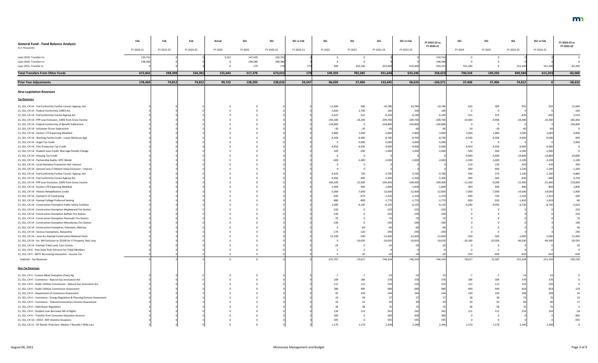

$$
\begin{array}{c}\n0 \\
0 \\
0 \\
129 \\
54 \\
19 \\
17 \\
0 \\
-18 \\
-300 \\
-595 \\
0\n\end{array}
$$

| <b>General Fund - Fund Balance Analysis</b>                                                                                             | Feb        | Feb        | Feb        | Actual  | <b>SS1</b> | <b>SS1</b> | SS1 vs Feb | SS1        | <b>SS1</b> | <b>SS1</b>       | SS1 vs Feb             | FY 2022-23 vs<br>FY 2020-21 | <b>SS1</b>          | <b>SS1</b>        | <b>SS1</b>            | SS1 vs Feb            | FY 2024-25 vs<br>FY 2022-23 |
|-----------------------------------------------------------------------------------------------------------------------------------------|------------|------------|------------|---------|------------|------------|------------|------------|------------|------------------|------------------------|-----------------------------|---------------------|-------------------|-----------------------|-----------------------|-----------------------------|
| (\$ in Thousands)                                                                                                                       | FY 2020-21 | FY 2022-23 | FY 2024-25 | FY 2020 | FY 2021    | FY 2020-21 | FY 2020-21 | FY 2022    | FY 2023    | FY 2022-23       | FY 2022-23             |                             | FY 2024             | FY 2025           | FY 2024-25            | FY 2024-25            |                             |
| Laws 2019, Transfers In                                                                                                                 | 150,761    |            |            | 3,322   | 147,439    | 150,761    |            |            |            |                  |                        | $-150,761$                  |                     |                   |                       |                       |                             |
| Laws 2020, Transfers In                                                                                                                 | 198,386    |            |            |         | 198,386    | 198,386    |            |            |            |                  |                        | $-198,386$                  |                     |                   |                       |                       |                             |
| Laws 2021, Transfer In                                                                                                                  |            |            |            |         | 179        | 179        |            | 300        | 633,100    | 633,400          | 633,400                | 633,221                     | 551,200             |                   | 551,200               | 551,200               | $-82,200$                   |
| <b>Total Transfers From Other Funds</b>                                                                                                 | 672,842    | 298,398    | 234,381    | 155,643 | 517,378    | 673,021    | 179        | 149,359    | 782,285    | 931,644          | 633,246                | 258,623                     | 700,334             | 149,250           | 849,584               | 615,203               | $-82,060$                   |
| <b>Prior Year Adjustments</b>                                                                                                           | 178,469    | 74,812     | 74,812     | 99,722  | 138,294    | 238,016    | 59,547     | 96,039     | 37,406     | 133,445          | 58,633                 | $-104,571$                  | 37,406              | 37,406            | 74,812                |                       | $-58,633$                   |
| <b>New Legislation Revenues</b>                                                                                                         |            |            |            |         |            |            |            |            |            |                  |                        |                             |                     |                   |                       |                       |                             |
| <b>Tax Revenues</b>                                                                                                                     |            |            |            |         |            |            |            |            |            |                  |                        |                             |                     |                   |                       |                       |                             |
| 21, SS1, CH 14 - Fed Conformity Further Consol. Approp. Act                                                                             |            |            |            |         |            |            |            | $-11,680$  | 900        | -10,780          | $-10,780$              | $-10,780$                   | 610                 | 300               |                       |                       | 11,690                      |
| 21, SS1, CH 14 - Federal Conformity CARES Act                                                                                           |            |            |            |         |            |            |            | $-1,600$   | 1,700      |                  |                        | 10 <sup>1</sup>             |                     |                   |                       |                       | $-100$                      |
| 21, SS1, CH 14 - Fed Conformity Consol Approp Act                                                                                       |            |            |            |         |            |            |            | $-5,625$   | $-515$     | -6,140           | $-6,14$                | $-6,140$                    | $-315$              | $-315$            |                       |                       | 5,510                       |
| 21, SS1, CH 14 - PPP Loan Exclusion, 100% from Gross Income                                                                             |            |            |            |         |            |            |            | $-191,500$ | $-18,200$  | $-209,700$       | $-209,700$             | $-209,700$                  | $-14,400$           | $-9,900$          | $-24,300$             | $-24,300$             | 185,400                     |
| 21, SS1, CH 14 - Federal Conformity UI Benefit Subtraction                                                                              |            |            |            |         |            |            |            | $-234,800$ |            | $-234,800$       | $-234,800$             | $-234,800$                  |                     |                   |                       |                       | 234,800                     |
| 21, SS1, CH 14 - Volunteer Driver Subtraction                                                                                           |            |            |            |         |            |            |            | $-30$      | $-30$      |                  |                        |                             | $-30$               | $-30$             |                       |                       |                             |
| 21, SS1, CH 14 - Section 179 Expensing Modified                                                                                         |            |            |            |         |            |            |            | $-3,800$   | 1,000      | $-2,800$         | $-2,800$               | $-2,800$                    | 1,000               | 1,000             | 2,000                 | 2,000                 | 4,800                       |
| 21, SS1, CH 14 - Working Family Credit - Lower Minimum Age                                                                              |            |            |            |         |            |            |            | $-4,300$   | $-4,400$   | $-8,700$         | $-8,700$               | $-8,700$                    | $-4,500$            | $-4,500$          | $-9,000$              | $-9,000$              | $-300$                      |
| 21, SS1, CH 14 - Angel Tax Credit                                                                                                       |            |            |            |         |            |            |            |            | $-5,000$   | $-5,000$         | $-5,000$               | $-5,000$                    |                     | - 0               |                       |                       | 5,000                       |
| 21, SS1, CH 14 - Film Production Tax Credit                                                                                             |            |            |            |         |            |            |            | -4,950     | $-4,950$   | $-9,900$         | $-9,900$               | $-9,900$                    | $-4,950$            | $-4,950$          | $-9,900$              | $-9,900$              |                             |
| 21, SS1, CH 14 - Student Loan Credit- Marriage Penalty Change                                                                           |            |            |            |         |            |            |            | $-500$     | $-500$     | $-1.00C$         | $-1,000$               | $-1,000$                    | $-500$              | $-500$            | $-1,000$              | $-1,000$              |                             |
| 21, SS1, CH 14 - Housing Tax Credit                                                                                                     |            |            |            |         |            |            |            |            |            |                  |                        |                             | $-9,900$            | $-9,900$          | $-19,800$             | $-19,800$             | $-19,800$                   |
| 21, SS1, CH 14 - Partnership Audits- MTC Model                                                                                          |            |            |            |         |            |            |            | -600       | $-1,400$   | $-2,000$         | $-2,000$               | $-2,000$                    | $-1,500$            | $-1,600$          | $-3,100$              | $-3,100$              | $-1,100$                    |
| 21, SS1, CH 14 - Local Homeless Prevention Aid- Interact                                                                                |            |            |            |         |            |            |            |            |            |                  |                        |                             | 210                 | 210               | 420                   |                       | 420                         |
| 21, SS1, CH 14 - General Levy CI Market Value Exclusion - Interact                                                                      |            |            |            |         |            |            |            |            |            |                  |                        |                             | 600                 | 600               | 1,200                 | 1,200                 | 1,200                       |
| 21, SS1, CH 14 - Fed Conformity Further Consol. Approp. Act                                                                             |            |            |            |         |            |            |            | -4,420     | 720        | $-3,700$         | $-3,700$               | $-3,700$                    | 590                 | 570               | 1,160                 | 1,160                 | 4.860                       |
| 21, SS1, CH 14 - Fed Conformity Consol Approp Act                                                                                       |            |            |            |         |            |            |            | $-4,900$   | $-400$     | $-5,300$         | $-5,300$               | $-5,300$                    | $-300$              | $-300$            | -600                  |                       | 4,700                       |
| 21, SS1, CH 14 - PPP Loan Exclusion, 100% from Gross Income                                                                             |            |            |            |         |            |            |            | $-183,500$ | $-15,900$  | $-199,400$       | $-199,400$             | $-199,400$                  | $-12,200$           | $-9,200$          | $-21,400$             | $-21,400$             | 178,000                     |
| 21, SS1, CH 14 - Section 179 Expensing Modified                                                                                         |            |            |            |         |            |            |            | $-1,400$   | 400        | $-1,000$         | $-1,000$               | $-1,000$                    | 400                 | 400               | 800                   | 800                   | 1,800                       |
| 21, SS1, CH 14 - Historic Rehabilitation Credit                                                                                         |            |            |            |         |            |            |            | $-5,600$   | $-7,000$   | $-12,600$        | $-12,600$              | $-12,600$                   | $-7,000$            | $-7,000$          | $-14,000$             | $-14,000$             | $-1,400$                    |
| 21, SS1, CH 14 - Exempt K-12 Fundraising                                                                                                |            |            |            |         |            |            |            | $-640$     | $-670$     | $-1,310$         | $-1,310$               | $-1,310$                    | $-690$              | $-720$            | $-1,410$              | $-1,410$              | $-100$                      |
| 21, SS1, CH 14 - Exempt College Preferred Seating                                                                                       |            |            |            |         |            |            |            | -880       | $-890$     | $-1,770$         | $-1,770$               | $-1,770$                    | $-900$              | $-910$            | $-1,810$              | $-1,810$              |                             |
| 21, SS1, CH 14 - Construction Exemption Public Safety Facilities                                                                        |            |            |            |         |            |            |            | -1,980     | $-4,140$   | $-6,120$         | $-6,120$               | $-6,120$                    | $-4,290$            | 4,440             | $-8.730$              | $-8,730$              | $-2,610$                    |
| 21, SS1, CH 14 - Construction Exemption Maplewood Fire Station                                                                          |            |            |            |         |            |            |            | $-220$     |            |                  |                        |                             |                     |                   |                       |                       |                             |
| 21, SS1, CH 14 - Construction Exemption Buffalo Fire Station                                                                            |            |            |            |         |            |            |            | $-230$     |            |                  |                        |                             |                     |                   |                       |                       |                             |
| 21, SS1, CH 14 - Construction Exemption Plymouth Fire Station                                                                           |            |            |            |         |            |            |            | -70        |            |                  |                        |                             |                     |                   |                       |                       |                             |
| 21, SS1, CH 14 - Construction Exemption Minnetonka Fire Station                                                                         |            |            |            |         |            |            |            | -190       |            |                  |                        |                             |                     |                   |                       |                       |                             |
| 21, SS1, CH 14 - Construction Exemption, Extension, Melrose                                                                             |            |            |            |         |            |            |            |            |            |                  |                        |                             |                     |                   |                       |                       |                             |
| 21, SS1, CH 14 - Various Exemptions, Alexandria                                                                                         |            |            |            |         |            |            |            | $-170$     | $-120$     |                  |                        |                             |                     |                   |                       |                       |                             |
| 21, SS1, CH 14 - June Acc Exempt Construction Material Vend.<br>21, SS1, CH 14 - Inc. MV Exclusion to \$150K for CI Property, Red. Levy |            |            |            |         |            |            |            | $-12,100$  | $-500$     | 12,600<br>10,650 | $-12,600$<br>$-10,650$ | $-12,600$<br>$-10,650$      | $-500$<br>$-20,100$ | -500<br>$-20,100$ | $-1,000$<br>$-40,200$ | $-1,000$<br>$-40,200$ | 11,600<br>$-29,550$         |
| 21, SS1, CH 14 - Exempt Tribal Land, Cass County                                                                                        |            |            |            |         |            |            |            |            | $-10,650$  |                  |                        |                             |                     |                   |                       |                       |                             |
| 21, SS1, CH 6 - Free State Park Entrance for Tribal Members                                                                             |            |            |            |         |            |            |            |            |            |                  |                        |                             |                     |                   |                       |                       |                             |
| 21, SS1, CH 5 - METC Borrowing Interaction - Income Tax                                                                                 |            |            |            |         |            |            |            |            | $-20$      |                  |                        |                             | $-250$              | $-400$            |                       |                       |                             |
| Subtotal - Tax Revenues                                                                                                                 |            |            |            |         |            |            |            | $-675,707$ | $-70,627$  | $-746,334$       | $-746,334$             | $-746,334$                  | $-78,917$           | $-72,187$         | $-151,104$            | $-151,104$            | 595,230                     |
|                                                                                                                                         |            |            |            |         |            |            |            |            |            |                  |                        |                             |                     |                   |                       |                       |                             |
| <b>Non-Tax Revenues</b>                                                                                                                 |            |            |            |         |            |            |            |            |            |                  |                        |                             |                     |                   |                       |                       |                             |
| 21, SS1, CH 3 - Custom Meat Exemption (Fees) Ag                                                                                         |            |            |            |         |            |            |            |            |            |                  |                        |                             |                     |                   |                       |                       |                             |
| 21, SS1, CH 4 - Commerce - Natural Gas Innovation Act                                                                                   |            |            |            |         |            |            |            | 189        | 189        |                  |                        |                             | 189                 | 189               |                       |                       |                             |
| 21, SS1, CH 4 - Public Utilities Commission - Natural Gas Innovation Act<br>21, SS1, CH 4 - Public Utilities Commission Assessment      |            |            |            |         |            |            |            | 112<br>280 | 112<br>409 |                  |                        |                             | 112                 | 112               |                       |                       |                             |
| 21, SS1, CH 4 - Department of Commerce Assessment                                                                                       |            |            |            |         |            |            |            |            | 149        |                  |                        |                             | 409<br>149          | 409<br>149        |                       |                       |                             |
| 21, SS1, CH 4 - Commerce - Energy Regulation & Planning Division Assessment                                                             |            |            |            |         |            |            |            |            |            |                  |                        |                             |                     |                   |                       |                       |                             |
| 21, SS1, CH 4 - Commerce - Telecommunications Division Assessment                                                                       |            |            |            |         |            |            |            |            |            |                  |                        |                             |                     |                   |                       |                       |                             |
| 21, SS1, CH 4 - Debt Buyer Regulation                                                                                                   |            |            |            |         |            |            |            |            |            |                  |                        |                             |                     |                   |                       |                       |                             |
| 21, SS1, CH 4 - Student Loan Borrower Bill of Rights                                                                                    |            |            |            |         |            |            |            |            | 112        |                  |                        |                             | 112                 | 112               |                       |                       |                             |
| 21, SS1, CH 4 - Transfer from Consumer Education Account                                                                                |            |            |            |         |            |            |            | 300        |            |                  | 300                    | 300                         |                     |                   |                       |                       | $-300$                      |
| 21, SS1, CH 10 - DEED - MIF Onetime Exception                                                                                           |            |            |            |         |            |            |            | 595        |            |                  |                        | -59.                        |                     |                   |                       |                       | $-595$                      |
| 21, SS1, CH 11 - GF Reimb. Prob Serv: Meeker / Renville / Mille Lacs                                                                    |            |            |            |         |            |            |            | 1,170      | 1,170      | 2,340            | 2,340                  | 2,340                       | 1,170               | 1,170             | 2,340                 | 2,340                 |                             |
|                                                                                                                                         |            |            |            |         |            |            |            |            |            |                  |                        |                             |                     |                   |                       |                       |                             |

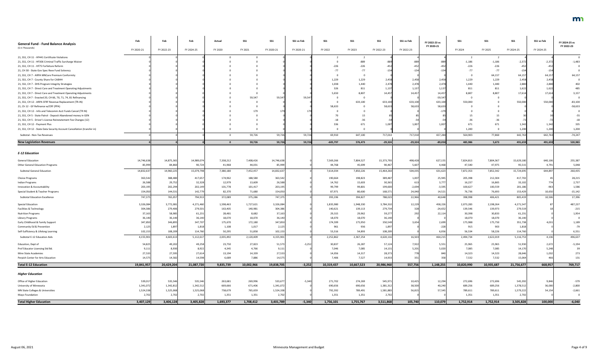| <b>General Fund - Fund Balance Analysis</b><br>(\$ in Thousands)        | Feb        | Feb        | Feb        | Actual       | <b>SS1</b> | <b>SS1</b> | SS1 vs Feb | SS1        | <b>SS1</b> | SS <sub>1</sub> | SS1 vs Feb | FY 2022-23 vs<br>FY 2020-21 | SS1        | <b>SS1</b> | <b>SS1</b> | SS1 vs Feb | FY 2024-25 vs<br>FY 2022-23 |
|-------------------------------------------------------------------------|------------|------------|------------|--------------|------------|------------|------------|------------|------------|-----------------|------------|-----------------------------|------------|------------|------------|------------|-----------------------------|
|                                                                         | FY 2020-21 | FY 2022-23 | FY 2024-25 | FY 2020      | FY 2021    | FY 2020-21 | FY 2020-21 | FY 2022    | FY 2023    | FY 2022-23      | FY 2022-23 |                             | FY 2024    | FY 2025    | FY 2024-25 | FY 2024-25 |                             |
| 21, SS1, CH 11 - HF441 Certificate Violations                           |            |            |            |              |            |            |            |            |            |                 |            |                             |            |            |            |            |                             |
| 21, SS1, CH 11 - HF306 Criminal Traffic Surcharge Waiver                |            |            |            |              |            |            |            |            | -889       |                 |            |                             | $-1,186$   | $-1,186$   | $-2,37$    | $-2,37.$   | $-1,483$                    |
| 21, SS1, CH 11 - HF75 Forfeiture Reform                                 |            |            |            |              |            |            |            | $-226$     | $-226$     |                 |            |                             | $-226$     | $-226$     |            |            |                             |
| 21, CH 30 - State Gov Spec Reve Fund Solvency                           |            |            |            |              |            |            |            |            | -77        |                 |            |                             | $-77$      | $-77$      | $-154$     |            |                             |
| 21, SS1, CH 7 - ARPA MNCare Premium Conformity                          |            |            |            |              |            |            |            |            |            |                 |            |                             |            | 64,157     | 64,15      | 64,15      | 64,157                      |
| 21, SS1, CH 7 - County Share for CABHH                                  |            |            |            |              |            |            |            | 1,229      | 1,229      | 2.458           | 2,458      | 2,458                       | 1,229      | 1,229      | 2,458      | 2,458      |                             |
| 21, SS1, CH 7 - DHS Program Integrity Strategies                        |            |            |            |              |            |            |            | 1,038      | 1,440      | 2,478           | 2,478      | 2,478                       | 1,440      | 1,440      | 2,880      | 2.880      | 402                         |
| 21, SS1, CH 7 - Direct Care and Treatment Operating Adjustments         |            |            |            |              |            |            |            | 326        | 811        | 1,137           | 1,13       | 1,137                       | 811        | 811        | 1,622      | 1,622      | 485                         |
| 21, SS1, CH 7 - Direct Care and Treatment Operating Adjustments         |            |            |            |              |            |            |            | 5,650      | 8,807      | 14,457          | 14,45      | 14,457                      | 8,807      | 8,807      | 17,614     | 17,614     | 3,157                       |
| 21, SS1, CH 7 - Enacted 20, CH 66, 70, 71, 74, 81 Refinancing           |            |            |            |              | 59,547     | 59,547     | 59,547     |            |            |                 |            | $-59,547$                   |            |            |            |            |                             |
| 21, SS1, CH 12 - ARPA SFRF Revenue Replacement (TR-IN)                  |            |            |            |              |            |            |            |            | 633,100    | 633,100         | 633,100    | 633,100                     | 550,000    |            | 550,000    | 550,000    | $-83,100$                   |
| 21, Ch 12 - GF Refinance w/CRF (PPA)                                    |            |            |            |              |            |            |            | 58,633     |            | 58,633          | 58,63      | 58,633                      |            |            |            |            | $-58,633$                   |
| 21, SS1, CH 12 - Info and Telecomm Acct Funds Cancel (TR IN)            |            |            |            |              |            |            |            |            |            |                 |            |                             |            |            |            |            |                             |
| 21, SS1, CH 5 - State Patrol - Deposit Abandoned money in GEN           |            |            |            |              |            |            |            |            |            |                 |            |                             |            |            |            |            |                             |
| 21, SS1, CH 5 - Driver's License Reinstatement Fee Changes (12)         |            |            |            |              |            |            |            | -18        |            |                 |            |                             |            |            |            |            | $-18$                       |
| 21, SS1, CH 12 - Payment Plus                                           |            |            |            |              |            |            |            | 336        | 671        |                 | 1,00       | 1,007                       | 671        | 671        | 1,342      | 1,342      | 335                         |
| 21, SS1, CH 12 - State Data Security Account Cancellation (transfer in) |            |            |            |              |            |            |            |            |            |                 |            |                             | 1,200      |            | 1,200      | 1,200      | 1,200                       |
| Subtotal - Non-Tax Revenues                                             |            |            |            |              | 59,726     | 59,726     | 59,726     | 69,910     | 647,100    | 717,010         | 717,010    | 657,284                     | 564,903    | 77,860     | 642,763    | 642,763    | $-74,247$                   |
| <b>New Legislation Revenues</b>                                         |            |            |            | $\mathbf{0}$ | 59,726     | 59,726     | 59,726     | $-605,797$ | 576,473    | $-29,324$       | $-29,324$  | $-89,050$                   | 485,986    | 5,673      | 491,659    | 491,659    | 520,983                     |
| <b>E-12 Education</b>                                                   |            |            |            |              |            |            |            |            |            |                 |            |                             |            |            |            |            |                             |
| <b>General Education</b>                                                | 14,746,638 | 14,875,365 | 14,989,074 | 7,338,212    | 7,408,426  | 14,746,638 |            | 7,569,266  | 7,804,527  | 15,373,793      | 498,428    | 627,155                     | 7,824,813  | 7,804,367  | 15,629,180 | 640,106    | 255,387                     |
| <b>Other General Education Programs</b>                                 | 85,999     | 84,860     | 90,724     | 41,968       | 44,031     | 85,999     |            | 44,768     | 45,699     | 90,467          | 5,607      | 4,468                       | 47,540     | 47,975     | 95,515     | 4,791      | 5,048                       |
| <b>Subtotal General Education</b>                                       | 14,832,637 | 14,960,225 | 15,079,798 | 7,380,180    | 7,452,457  | 14,832,637 |            | 7,614,034  | 7,850,226  | 15,464,260      | 504,035    | 631,623                     | 7,872,353  | 7,852,342  | 15,724,695 | 644,897    | 260,435                     |
| <b>Choice Programs</b>                                                  | 363,542    | 388,480    | 417,657    | 174,962      | 188,580    | 363,542    |            | 190,664    | 198,823    | 389,487         | 1,007      | 25,945                      | 205,398    | 212,304    | 417,702    |            | 28,215                      |
| Indian Programs                                                         | 26,588     | 29,752     | 32,328     | 12,979       | 13,609     | 26,588     |            | 14,762     | 15,603     | 30,365          |            | 3,777                       | 16,237     | 16,865     | 33,102     |            | 2,737                       |
| Innovation & Accountability                                             | 203,195    | 202,294    | 202,149    | 101,778      | 101,417    | 203,195    |            | 99,799     | 99,801     | 199,600         | $-2,694$   | $-3,595$                    | 100,627    | 100,559    | 201,186    |            | 1,586                       |
| Special Student & Teacher Programs                                      | 154,050    | 144,531    | 142,779    | 82,370       | 71,680     | 154,050    |            | 87,971     | 80,600     | 168,571         | 24,040     | 14,521                      | 76,736     | 76,693     | 153,429    | 10,650     | $-15,142$                   |
| <b>Subtotal Education Excellence</b>                                    | 747,375    | 765,057    | 794,913    | 372,089      | 375,286    | 747,375    |            | 393,196    | 394,827    | 788,023         | 22,966     | 40,648                      | 398,998    | 406,421    | 805,419    | 10,506     | 17,396                      |
| <b>Special Education</b>                                                | 3,326,084  | 3,772,081  | 4,271,460  | 1,598,463    | 1,727,621  | 3,326,084  |            | 1,835,980  | 1,948,330  | 3,784,310       | 12,229     | 458,226                     | 2,073,283  | 2,198,264  | 4,271,547  |            | 487,237                     |
| Facilities & Technology                                                 | 304,386    | 279,406    | 279,501    | 163,405      | 140,981    | 304,386    |            | 140,621    | 139,113    | 279,734         |            | $-24,652$                   | 139,546    | 139,973    | 279,519    |            | $-215$                      |
| <b>Nutrition Programs</b>                                               | 37,163     | 58,985     | 61,231     | 28,481       | 8,682      | 37,163     |            | 29,315     | 29,962     | 59,277          |            | 22,114                      | 30,398     | 30,833     | 61,231     |            | 1,954                       |
| Library Programs                                                        | 36,140     | 36,140     | 36,140     | 18,070       | 18,070     | 36,140     |            | 18,070     | 18,070     | 36,140          |            |                             | 18,070     | 18,070     | 36,140     |            |                             |
| Early Childhood & Family Support                                        | 347,850    | 346,895    | 347,707    | 175,670      | 172,180    | 347,850    |            | 174,599    | 175,950    | 350,549         | 3,654      | 2,699                       | 175,988    | 175,750    | 351,738    | 4,031      | 1,189                       |
| Community Ed & Prevention                                               | 2,125      | 1,897      | 1,818      | 1,108        | 1,017      | 2,125      |            | 961        | 936        | 1,897           |            | $-228$                      | 915        | 903        | 1,818      |            | -79                         |
| Self-Sufficiency & Lifelong Learning                                    | 102,153    | 108,209    | 114,760    | 50,295       | 51,858     | 102,153    |            | 53,316     | 54,893     | 108,209         |            | 6,056                       | 56,534     | 58,226     | 114,760    |            | 6,551                       |
| Subtotal E-12 Education Aids                                            | 4,155,901  | 4,603,613  | 5,112,617  | 2,035,492    | 2,120,409  | 4,155,901  |            | 2,252,862  | 2,367,254  | 4,620,116       | 16,503     | 464,215                     | 2,494,734  | 2,622,019  | 5,116,753  | 4,136      | 496,637                     |
| Education, Dept of                                                      | 54,825     | 49,202     | 49,258     | 23,750       | 27,823     | 51,573     | $-3,252$   | 30,837     | 26,287     | 57,124          | 7,922      | 5,551                       | 25,965     | 25,965     | 51,930     | 2,672      | $-5,194$                    |
| Prof Educator Licensing Std Bd.                                         | 9,111      | 8,930      | 8,922      | 4,345        | 4,766      | 9,111      |            | 7,046      | 7,085      | 14,131          | 5,201      | 5,020                       | 7,085      | 7,085      | 14,170     | 5,248      | 39                          |
| <b>Minn State Academies</b>                                             | 27,533     | 27,595     | 27,614     | 13,194       | 14,339     | 27,533     |            | 14,056     | 14,317     | 28,373          |            | 840                         | 14,323     | 14,323     | 28,646     | 1,032      | 273                         |
| Perpich Center for Arts Education                                       | 14,575     | 14,582     | 14,598     | 6,689        | 7,886      | 14,575     |            | 7,406      | 7,527      | 14,933          |            | 358                         | 7,532      | 7,532      | 15,064     |            | 131                         |
| <b>Total E-12 Education</b>                                             | 19,841,957 | 20,429,204 | 21,087,720 | 9,835,739    | 10,002,966 | 19,838,705 | $-3,252$   | 10,319,437 | 10,667,523 | 20,986,960      | 557,756    | 1,148,255                   | 10,820,990 | 10,935,687 | 21,756,677 | 668,957    | 769,717                     |
| <b>Higher Education</b>                                                 |            |            |            |              |            |            |            |            |            |                 |            |                             |            |            |            |            |                             |
| Office of Higher Education                                              | 539,017    | 535,546    | 535,546    | 263,681      | 269,996    | 533,677    | $-5,340$   | 271,702    | 274,269    | 545,971         | 10,425     | 12,294                      | 272,696    | 272,696    | 545,392    | 9,846      | $-579$                      |
| University of Minnesota                                                 | 1,341,072  | 1,342,812  | 1,342,512  | 669,666      | 671,406    | 1,341,072  |            | 690,656    | 690,656    | 1,381,312       | 38,500     | 40,240                      | 689,256    | 689,256    | 1,378,51   | 36,000     | $-2,800$                    |
| MN State Colleges & Universities                                        | 1,524,338  | 1,525,068  | 1,525,068  | 758,679      | 765,659    | 1,524,338  |            | 792,392    | 789,491    | 1,581,883       | 56,81      | 57,545                      | 789,611    | 789,611    | 1,579,222  | 54,154     | $-2,661$                    |
| Mayo Foundation                                                         | 2,702      | 2,702      | 2,702      | 1,351        | 1,351      | 2,702      |            | 1,351      | 1,351      | 2,702           |            |                             | 1,351      | 1,351      | 2,702      |            |                             |
| <b>Total Higher Education</b>                                           | 3,407,129  | 3,406,128  | 3,405,828  | 1,693,377    | 1,708,412  | 3,401,789  | $-5,340$   | 1,756,101  | 1,755,767  | 3,511,868       | 105,740    | 110,079                     | 1,752,914  | 1,752,914  | 3,505,828  | 100,000    | $-6,040$                    |



| 520,983   |
|-----------|
| -74,247   |
| 1,200     |
| 335       |
| $-18$     |
| $-55$     |
| 0         |
| $-58,633$ |
| $-83,100$ |
| 0         |
| 3,157     |
| 485       |
| 402       |
| 0         |
| 64,157    |
| 0         |
| 0         |
| $-1,483$  |
| 0         |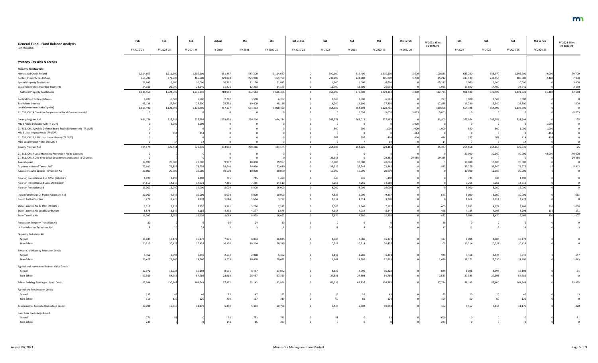| <b>General Fund - Fund Balance Analysis</b>                       | Feb        | Feb        | Feb        | Actual  | <b>SS1</b> | <b>SS1</b> | SS1 vs Feb | SS1     | <b>SS1</b>     | <b>SS1</b> | SS1 vs Feb | FY 2022-23 vs<br>FY 2020-21 | <b>SS1</b> | <b>SS1</b> | <b>SS1</b> | SS1 vs Feb | FY 2024-25 vs<br>FY 2022-23 |
|-------------------------------------------------------------------|------------|------------|------------|---------|------------|------------|------------|---------|----------------|------------|------------|-----------------------------|------------|------------|------------|------------|-----------------------------|
| (\$ in Thousands)                                                 | FY 2020-21 | FY 2022-23 | FY 2024-25 | FY 2020 | FY 2021    | FY 2020-21 | FY 2020-21 | FY 2022 | FY 2023        | FY 2022-23 | FY 2022-23 |                             | FY 2024    | FY 2025    | FY 2024-25 | FY 2024-25 |                             |
| <b>Property Tax Aids &amp; Credits</b>                            |            |            |            |         |            |            |            |         |                |            |            |                             |            |            |            |            |                             |
| <b>Property Tax Refunds:</b>                                      |            |            |            |         |            |            |            |         |                |            |            |                             |            |            |            |            |                             |
| Homestead Credit Refund                                           | 1,114,667  | 1,211,900  | 1,286,200  | 531,467 | 583,200    | 1,114,667  |            | 600,100 | 615,400        | 1,215,500  | 3,600      | 100,833                     | 639,230    | 655,970    | 1,295,200  | 9,000      | 79,700                      |
| Renters Property Tax Refund                                       | 455,788    | 479,800    | 485,900    | 229,888 | 225,900    | 455,788    |            | 239,200 | 241,800        | 481,000    | 1,200      | 25,212                      | 243,430    | 244,950    | 488,380    | 2,480      | 7,380                       |
| Special Property Tax Refund                                       | 21,842     | 6,600      | 10,000     | 10,722  | 11,120     | 21,842     |            | 1,600   | 5,000          | 6,600      |            | $-15,242$                   | 5,000      | 5,000      | 10,000     |            | 3,400                       |
| Sustainable Forest Incentive Payments                             | 24,169     | 26,090     | 28,240     | 11,876  | 12,293     | 24,169     |            | 12,790  | 13,300         | 26,090     |            | 1,921                       | 13,840     | 14,400     | 28,240     |            | 2,150                       |
| Subtotal Property Tax Refunds                                     | 1,616,466  | 1,724,390  | 1,810,340  | 783,953 | 832,513    | 1,616,466  |            | 853,690 | 875,500        | 1,729,190  | 4,800      | 112,724                     | 901,500    | 920,320    | 1,821,820  | 11,480     | 92,630                      |
| <b>Political Contribution Refunds</b>                             | 6,207      | 6,500      | 6,500      | 2,707   | 3,500      | 6,207      |            | 3,000   | 3,500          | 6,500      |            | 293                         | 3,000      | 3,500      | 6,500      |            |                             |
| Tax Refund Interest                                               | 45,138     | 27,300     | 26,500     | 25,738  | 19,400     | 45,138     |            | 14,200  | 13,100         | 27,300     |            | $-17,838$                   | 13,200     | 13,300     | 26,500     |            | $-800$                      |
| Local Government Aid (City Aid)                                   | 1,018,490  | 1,128,796  | 1,128,796  | 457,137 | 561,353    | 1,018,490  |            | 564,398 | 564,398        | 1,128,796  |            | 110,306                     | 564,398    | 564,398    | 1,128,796  |            |                             |
| 21, SS1, CH 14 One-time Supplemental Local Government Aid         |            |            |            |         |            |            |            |         | 5,053          | 5,053      | 5,053      | 5,053                       |            |            |            |            | $-5,053$                    |
| County Program Aid                                                | 494,174    | 527,983    | 527,908    | 233,958 | 260,216    | 494,174    |            | 263,971 | 264,012        | 527,983    |            | 33,809                      | 263,954    | 263,954    | 527,908    |            | -75                         |
| MMB Public Defender Aid (TR OUT)                                  |            | 1,000      | 1,000      |         |            |            |            |         |                |            | $-1,000$   |                             |            |            |            | $-1,000$   |                             |
| 21, SS1, CH 14, Public Defense Board Public Defender Aid (TR OUT) |            |            |            |         |            |            |            | 500     | 500            | 1,000      | 1,000      | 1,000                       | 500        | 500        | 1.000      | 1,000      |                             |
| MMB Local Impact Notes (TR OUT)                                   |            |            |            |         |            |            |            |         |                |            |            |                             |            |            |            |            |                             |
| 21, SS1, CH 12, LBO Local Impact Notes (TR OUT)                   |            |            |            |         |            |            |            | 207     | 207            |            |            | 414                         | 207        | 207        |            |            |                             |
| MDE Local Impact Notes (TR OUT)                                   |            |            |            |         |            |            |            |         |                |            |            |                             |            |            |            |            |                             |
| County Program Aid                                                | 494,174    | 529,411    | 529,336    | 233,958 | 260,216    | 494,174    |            | 264,685 | 264,726        | 529,411    |            | 35,237                      | 264,668    | 264,668    | 529,336    |            | $-75$                       |
| 21, SS1, CH 14 Local Homeless Prevention Aid to Counties          |            |            |            |         |            |            |            |         |                |            |            |                             | 20,000     | 20,000     | 40,000     | 40,000     | 40,000                      |
| 21, SS1, CH 14 One-time Local Government Assistance to Counties   |            |            |            |         |            |            |            | 29,355  |                | 29,355     | 29,35      | 29,355                      |            |            |            |            | $-29,355$                   |
| Township Aid                                                      | 19,997     | 20,000     | 20,000     | 9,997   | 10,000     | 19,997     |            | 10,000  | 10,000         | 20,000     |            |                             | 10,000     | 10,000     | 20,000     |            |                             |
| Payment in Lieu of Taxes - PILT                                   | 72,030     | 72,855     | 78,759     | 35,940  | 36,090     | 72,030     |            | 36,315  | 36,548         | 72,863     |            | 833                         | 39,275     | 39,500     | 78,775     |            | 5,912                       |
| Aquatic Invasive Species Prevention Aid                           | 20,000     | 20,000     | 20,000     | 10,000  | 10,000     | 20,000     |            | 10,000  | 10,000         | 20,000     |            |                             | 10,000     | 10,000     | 20,000     |            |                             |
| Riparian Protection Aid to BWSR (TR OUT)                          | 1,490      | 1,490      | 1,490      | 745     | 745        | 1,490      |            | 745     | 745            | 1,490      |            |                             | 745        | 745        | 1,490      |            |                             |
| Riparian Protection Aid Local Distribution                        | 14,510     | 14,510     | 14,510     | 7,255   | 7,255      | 14,510     |            | 7,255   | 7,255          | 14,510     |            |                             | 7,255      | 7,255      | 14,510     |            |                             |
| Riparian Protection Aid                                           | 16,000     | 16,000     | 16,000     | 8,000   | 8,000      | 16,000     |            | 8,000   | 8,000          | 16,000     |            |                             | 8,000      | 8,000      | 16,000     |            |                             |
| Indian Family Out-Of-Home Placement Aid                           | 10,000     | 9,337      | 10,000     | 5,000   | 5,000      | 10,000     |            | 4,337   | 5,000          | 9,337      |            | $-663$                      | 5,000      | 5,000      | 10,000     |            | 663                         |
| Casino Aid to Counties                                            | 3,228      | 3,228      | 3,228      | 1,614   | 1,614      | 3,228      |            | 1,614   | 1,614          | 3,228      |            |                             | 1,614      | 1,614      | 3,228      |            |                             |
| State Taconite Aid to IRRR (TR OUT)                               | 7,517      | 7,112      | 7,952      | 3,721   | 3,796      | 7,517      |            | 3,566   | 3,546          | 7,112      |            | $-405$                      | 3,891      | 4,277      | 8,168      |            | 1,056                       |
| State Taconite Aid Local Distribution                             | 8,575      | 8,147      | 8,184      | 4,298   | 4,277      | 8,575      |            | 4,113   | 4,034          | 8,147      |            | $-428$                      | 4,105      | 4,193      | 8,298      | 114        | 151                         |
| State Taconite Aid                                                | 16,092     | 15,259     | 16,136     | 8,019   | 8,073      | 16,092     |            | 7,679   | 7,580          | 15,259     |            | $-833$                      | 7,996      | 8,470      | 16,466     | 330        | 1,207                       |
| Production Property Transition Aid                                |            |            |            | 56      | 24         |            |            |         |                |            |            |                             |            | 0          |            |            |                             |
| <b>Utility Valuation Transition Aid</b>                           |            |            |            |         |            |            |            | 11      |                |            |            |                             | 11         | 12         |            |            |                             |
| <b>Disparity Reduction Aid</b>                                    |            |            |            |         |            |            |            |         |                |            |            |                             |            |            |            |            |                             |
| School                                                            | 16,045     | 16,172     | 16,172     | 7,971   | 8,074      | 16,045     |            | 8,086   | 8,086          | 16,172     |            | 127                         | 8,086      | 8,086      | 16,172     |            |                             |
| Non-School                                                        | 20,319     | 20,428     | 20,428     | 10,105  | 10,214     | 20,319     |            | 10,214  | 10,214         | 20,428     |            | 109                         | 10,214     | 10,214     | 20,428     |            |                             |
| <b>Border City Disparity Reduction Credit</b>                     |            |            |            |         |            |            |            |         |                |            |            |                             |            |            |            |            |                             |
| School                                                            | 5,452      | 6,393      | 6,940      | 2,534   | 2,918      | 5,452      |            | 3,112   | 3,281          | 6,393      |            | 941                         | 3,416      | 3,524      | 6,940      |            | 547                         |
| Non-School                                                        | 20,427     | 22,863     | 24,706     | 9,959   | 10,468     | 20,427     |            | 11,161  | 11,702         | 22,863     |            | 2,436                       | 12,171     | 12,535     | 24,706     |            | 1,843                       |
| Agricultural Homestead Market Value Credit                        |            |            |            |         |            |            |            |         |                |            |            |                             |            |            |            |            |                             |
| School                                                            | 17,072     | 16,223     | 16,192     | 8,635   | 8,437      | 17,072     |            | 8,127   | 8,096          | 16,223     |            | $-849$                      | 8,096      | 8,096      | 16,192     |            | -31                         |
| Non-School                                                        | 57,369     | 54,786     | 54,786     | 28,912  | 28,457     | 57,369     |            | 27,393  | 27,393         | 54,786     |            | $-2,583$                    | 27,393     | 27,393     | 54,786     |            |                             |
| School Building Bond Agricultural Credit                          | 92,994     | 130,768    | 164,743    | 37,852  | 55,142     | 92,994     |            | 61,932  | 68,836         | 130,768    |            | 37,774                      | 81,143     | 83,600     | 164,743    |            | 33,975                      |
| Agriculture Preservation Credit                                   |            |            |            |         |            |            |            |         |                |            |            |                             |            |            |            |            |                             |
| School                                                            | 132        |            |            | 85      | 47         | 132        |            | 23      | 20             |            |            |                             | 20         | 20         |            |            |                             |
| Non-School                                                        |            |            | 120        | 202     | 117        | 31         |            | 60      | 60             | 120        |            | $-199$                      | 60         | 60         |            |            |                             |
| Supplemental Taconite Homestead Credit                            | 10,788     | 10,950     | 11,170     | 5,394   | 5,394      | 10,788     |            | 5,448   | 5,502          | 10,950     |            | 162                         | 5,557      | 5,613      | 11,170     |            | 220                         |
| Prior Year Credit Adjustment                                      |            |            |            |         |            |            |            |         |                |            |            |                             |            |            |            |            |                             |
| School                                                            | 771        |            |            | 38      | 733        | 771        |            | 81      | $\overline{0}$ |            |            | $-690$                      |            |            |            |            |                             |
| Non-School                                                        | 233        |            |            | 148     | 85         | 233        |            |         |                |            |            |                             |            |            |            |            |                             |

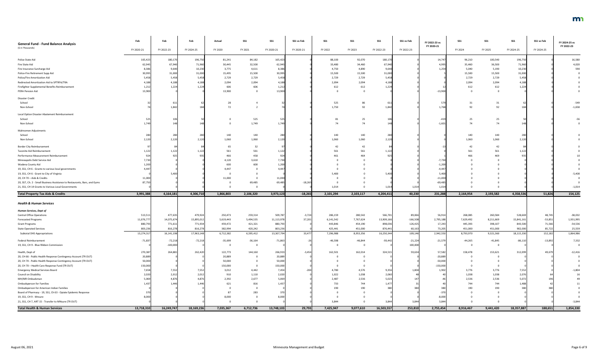|     | 16,580   |
|-----|----------|
|     | 4,020    |
|     | 590      |
|     | 0        |
|     | 0        |
|     | 0        |
|     | 0        |
|     | 0        |
|     |          |
|     |          |
|     | $-549$   |
|     | $-1,658$ |
|     |          |
|     | $-56$    |
|     | 0        |
|     |          |
|     |          |
|     | 0        |
|     | 0        |
|     |          |
|     | 0        |
|     | 0        |
|     | 10       |
|     | 0        |
|     | 0        |
|     | 0        |
|     | $-5,400$ |
|     | 0        |
|     | 0        |
|     | $-1,014$ |
| 154 | 125      |

| $-38,032$ |
|-----------|
| 1,931,995 |
| $-54,536$ |
| 25,559    |
| 1,864,986 |
| 7,332     |
| 0         |
| $-12,416$ |
| 0         |
| 0         |
| 0         |
| $-1,804$  |
| 16        |
| 49        |
| 11        |
| 0         |
| 0         |
| 0         |
| $-3,844$  |
| 1,854,330 |

| <b>General Fund - Fund Balance Analysis</b>                               | Feb        | Feb        | Feb        | Actual    | <b>SS1</b> | <b>SS1</b> | SS1 vs Feb | <b>SS1</b> | $SS1$     | <b>SS1</b> | SS1 vs Feb | FY 2022-23 vs | <b>SS1</b> | <b>SS1</b> | <b>SS1</b> | SS1 vs Feb | FY 2024-25 vs |
|---------------------------------------------------------------------------|------------|------------|------------|-----------|------------|------------|------------|------------|-----------|------------|------------|---------------|------------|------------|------------|------------|---------------|
| (\$ in Thousands)                                                         | FY 2020-21 | FY 2022-23 | FY 2024-25 | FY 2020   | FY 2021    | FY 2020-21 | FY 2020-21 | FY 2022    | FY 2023   | FY 2022-23 | FY 2022-23 | FY 2020-21    | FY 2024    | FY 2025    | FY 2024-25 | FY 2024-25 | FY 2022-23    |
| Police State Aid                                                          | 165,42     | 180,170    | 196,75     | 81,241    | 84,182     | 165,423    |            | 88,100     | 92,070    | 180,17     |            | 14,747        | 96,210     | 100,540    | 196,750    |            | 16,580        |
| Fire State Aid                                                            | 62,945     | 67,940     | 71,960     | 30,445    | 32,500     | 62,945     |            | 33,480     | 34,460    | 67,940     |            | 4,995         | 35,460     | 36,500     | 71,960     |            | 4,020         |
| Fire Insurance Surcharge Aid                                              | 8,38       | 9,640      | 10,230     | 3,775     | 4,611      | 8,386      |            | 4,750      | 4,890     | 9,640      |            | 1,254         | 5,040      | 5,190      | 10,230     |            | 590           |
| Police-Fire Retirement Supp Aid                                           | 30,995     | 31,000     | 31,000     | 15,495    | 15,500     | 30,995     |            | 15,500     | 15,500    | 31,000     |            |               | 15,500     | 15,500     | 31,000     |            |               |
| Police/Fire Amortization Aid                                              | 5,458      | 5,458      | 5,458      | 2,729     | 2,729      | 5,458      |            | 2,729      | 2,729     | 5,458      |            |               | 2,729      | 2,729      | 5,458      |            |               |
| Redirected Amortization Aid to SPTRFA/TRA                                 | 4,18       | 4,188      | 4,188      | 2,094     | 2,094      | 4,188      |            | 2,094      | 2,094     | 4,188      |            |               | 2,094      | 2,094      | 4,188      |            |               |
| Firefighter Supplemental Benefits Reimbursement                           | 1,212      | 1,224      | 1,224      | 606       | 606        | 1,212      |            | 612        | 612       | 1,224      |            |               | 612        | 612        | 1,224      |            |               |
| PERA Pension Aid                                                          | 13,900     |            |            | 13,900    |            | 13,900     |            |            |           |            |            | $-13,90$      |            |            |            |            |               |
| Disaster Credit                                                           |            |            |            |           |            |            |            |            |           |            |            |               |            |            |            |            |               |
| School                                                                    |            |            |            | 28        |            |            |            | 525        | 86        |            |            | -57           | 31         |            |            |            | $-549$        |
| Non-School                                                                |            | 1,842      | 184        | 72        |            |            |            | 1,750      | 92        | 1,842      |            | 1,768         | 92         | 92         |            |            | $-1,658$      |
| Local Option Disaster Abatement Reimbursement                             |            |            |            |           |            |            |            |            |           |            |            |               |            |            |            |            |               |
| School                                                                    |            |            |            |           | 525        | 525        |            | 81         | 25        |            |            | -419          | 25         | 25         |            |            |               |
| Non-School                                                                | 1,749      |            |            |           | 1,749      | 1,749      |            | 74         | 74        |            |            | $-1,60.$      | 74         | 74         |            |            |               |
| Mahnomen Adjustments                                                      |            |            |            |           |            |            |            |            |           |            |            |               |            |            |            |            |               |
| School                                                                    |            | 280        | 280        | 140       | 140        | 280        |            | 140        | 140       |            |            |               | 140        | 140        | 280        |            |               |
| Non-School                                                                | 2,120      | 2,120      | 2,12       | 1,060     | 1,060      | 2,120      |            | 1,060      | 1,060     |            |            |               | 1,060      | 1,060      | 2,120      |            |               |
| <b>Border City Reimbursement</b>                                          |            |            |            | 65        | 32         |            |            | 42         | 42        |            |            |               | 42         | 42         |            |            |               |
| Taconite Aid Reimbursement                                                | 1,12       | 1,122      | 1,12       | 561       | 561        | 1,122      |            | 561        | 561       | 1,12       |            |               | 561        | 561        | 1,122      |            |               |
| Performance Measurement Reimbursement                                     |            | 925        |            | 466       | 458        | 924        |            |            | 464       |            |            |               | 466        | 469        |            |            |               |
| Minneapolis Debt Service Aid                                              | 7,730      |            |            | 4,120     | 3,610      | 7,730      |            |            |           |            |            | $-7,730$      |            |            |            |            |               |
| Wadena County Aid                                                         | 1,200      |            |            | 600       | 600        | 1,200      |            |            |           |            |            | $-1,200$      |            |            |            |            |               |
| 19, SS1, CH 6 - Grants to various local governments                       | 4.44       |            |            | 4,447     |            | 4,447      |            |            |           |            |            | $-4,44$       |            |            |            |            |               |
| 19, SS1, CH 6 - Grant to City of Virginia                                 |            | 5.400      |            |           |            |            |            | 5.400      |           | 5.400      |            | 5,400         |            |            |            |            |               |
| 20, CH 70 - Aids & Credits                                                | 11,000     |            |            | 11,000    |            | 11,000     |            |            |           |            |            | $-11,000$     |            |            |            |            |               |
| 20, SS7, Ch. 2 - Small Business Assistance to Restaurants, Bars, and Gyms | 87,750     |            |            |           | 69,485     | 69,485     | $-18,265$  |            |           |            |            | $-69,485$     |            |            |            |            |               |
| 21, SS1, CH 14 Grants to Various Local Governments                        |            |            |            |           |            |            |            | 1,014      |           | 1,014      | 1,014      | 1,014         |            |            |            |            | $-1,014$      |
| <b>Total Property Tax Aids &amp; Credits</b>                              | 3,991,388  | 4,164,181  | 4,306,710  | 1,866,803 | 2,106,320  | 3,973,123  | $-18,265$  | 2,101,294  | 2,103,117 | 4,204,411  | 40,230     | 231,288       | 2,164,954  | 2,193,582  | 4,358,536  | 51,826     | 154,125       |
| <b>Health &amp; Human Services</b>                                        |            |            |            |           |            |            |            |            |           |            |            |               |            |            |            |            |               |
| Human Services, Dept of                                                   |            |            |            |           |            |            |            |            |           |            |            |               |            |            |            |            |               |
| <b>Central Office Operations</b>                                          | 513,51     | 477,635    | 479,924    | 250,473   | 259,314    | 509,787    | $-3,724$   | 286,159    | 280,542   | 566,701    | 89,066     | 56,914        | 268,085    | 260,584    | 528,669    | 48,745     | $-38,032$     |
| <b>Forecasted Programs</b>                                                | 11,076,77  | 14,075,674 | 15,895,012 | 5,619,443 | 5,494,535  | 11,113,978 | 37,201     | 6,141,542  | 7,767,624 | 13,909,16  | $-166,508$ | 2,795,188     | 7,629,492  | 8,211,669  | 15,841,161 | $-53,851$  | 1,931,995     |
| <b>Grant Programs</b>                                                     | 880,79     | 771,611    | 771,934    | 459,472   | 421,321    | 880,793    |            | 443,846    | 454,190   | 898,036    | 126,425    | 17,243        | 445,393    | 398,107    | 843,500    | 71,566     | $-54,536$     |
| <b>State Operated Services</b>                                            | 803,23     | 816,278    | 816,278    | 382,994   | 420,242    | 803,236    |            | 425,441    | 451,000   | 876,441    | 60,163     | 73,205        | 451,000    | 451,000    | 902,000    | 85,722     | 25,559        |
| <b>Subtotal DHS Appropriations</b>                                        | 13,274,31  | 16,141,198 | 17,963,148 | 6,712,382 | 6,595,412  | 13,307,794 | 33,477     | 7,296,988  | 8,953,356 | 16,250,344 | 109,146    | 2,942,550     | 8,793,970  | 9,321,360  | 18,115,330 | 152,182    | 1,864,986     |
| Federal Reimbursement                                                     | $-71,837$  | $-72,218$  | $-72,218$  | $-35,699$ | $-36,164$  | $-71,863$  |            | $-46,598$  | $-46,844$ | -93,442    | $-21,224$  | $-21,579$     | $-44,265$  | $-41,845$  | $-86,110$  | $-13,892$  | 7,332         |
| 19, SS1, CH 9 - Blue Ribbon Commission                                    |            | $-100,000$ |            |           |            |            |            |            |           |            | 100,000    |               |            |            |            |            |               |
| Health, Dept of                                                           | 270,38     | 264,881    | 262,420    | 122,773   | 144,160    | 266,93     | $-3,454$   | 162,501    | 162,014   | 324,51     | 59,634     | 57,582        | 158,478    | 153,621    | 312,099    | 49,679     | $-12,416$     |
| 20, CH 66 - Public Health Response Contingency Account (TR OUT)           | 20,889     |            |            | 20,889    |            | 20,889     |            |            |           |            |            | $-20,889$     |            |            |            |            |               |
| 20, CH 70 - Public Health Response Contingency Account (TR OUT)           | 50,000     |            |            | 50,000    |            | 50,000     |            |            |           |            |            | $-50,000$     |            |            |            |            |               |
| 20, CH 70 - Health Care Response Fund (TR OUT)                            | 150,000    |            |            | 150,000   |            | 150,000    |            |            |           |            |            | $-150,000$    |            |            |            |            |               |
| <b>Emergency Medical Services Board</b>                                   | 7,658      | 7,552      | 7,552      | 3,012     | 4,442      | 7,454      |            | 4,780      | 4,576     | 9,356      | 1,804      | 1,902         | 3,776      | 3,776      | 7,552      |            | $-1,804$      |
| Council on Disability                                                     | 2,02       | 2,012      | 2,012      | 910       | 1,110      | 2,020      |            | 1,022      | 1,038     | 2,060      |            |               | 1,038      | 1,038      | 2,076      |            |               |
| MH/MR Ombudsman                                                           | 5,06       | 4,876      | 4,876      | 2,392     | 2,677      | 5,069      |            | 2,487      | 2,536     | 5,02       |            |               | 2,536      | 2,536      | 5,072      |            |               |
| <b>Ombudsperson for Families</b>                                          |            | 1,446      | 1.44       | 621       | 816        | 1,43       |            | 733        | 744       |            |            |               | 744        | 744        |            |            |               |
| Ombudsperson for American Indian Families                                 |            |            |            |           |            |            |            | 190        | 190       |            |            |               | 190        | 190        |            |            |               |
| Board of Pharmacy - 19, SS1, Ch 63 - Opiate Epidemic Response             |            |            |            |           | 283        |            |            |            |           |            |            |               |            |            |            |            |               |
| 19, SS1, CH 9 - Mnsure                                                    |            |            |            | 8,000     |            | 8,000      |            |            |           |            |            | $-8,000$      |            |            |            |            |               |
| 21, SS1, CH 7, ART 15 - Transfer to MNsure (TR OUT)                       |            |            |            |           |            |            |            | 3,844      |           | 3.844      | 3,844      | 3.844         |            |            |            |            | $-3,844$      |
| <b>Total Health &amp; Human Services</b>                                  | 13,718,310 | 16,249,747 | 18,169,236 | 7,035,367 | 6,712,736  | 13,748,103 | 29,793     | 7,425,947  | 9,077,610 | 16,503,557 | 253,810    | 2,755,454     | 8,916,467  | 9,441,420  | 18,357,887 | 188,651    | 1,854,330     |

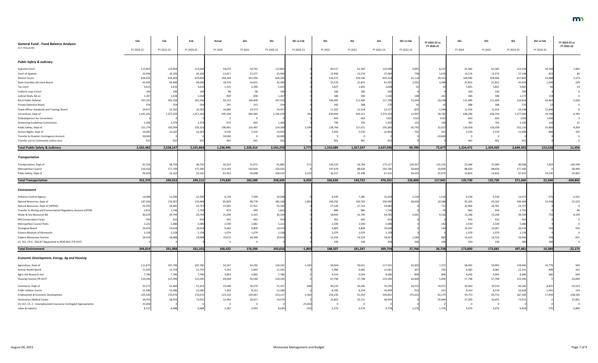## **FY 2024-25 vs FY 2022-23**

- 
- 
- -
- -

| <b>Public Safety &amp; Judiciary</b><br>10,160<br>54,070<br>59,792<br>113,862<br>60,517<br>61,582<br>61,582<br>61,582<br>123,164<br>113,862<br>113,004<br>113,004<br>122,099<br>9,095<br>8,237<br>Supreme Court<br>25,994<br>26,326<br>26,32<br>12,617<br>13,377<br>25,994<br>13,490<br>13,574<br>738<br>1,070<br>13,574<br>13,574<br>27,148<br>27,064<br>82 <sub>2</sub><br>626,205<br>634,404<br>634,404<br>294,249<br>331,956<br>626,205<br>326,372<br>329,146<br>655,518<br>21,114<br>29,313<br>328,946<br>328,946<br>657,892<br>23,488<br>22,815<br>18,570<br>43,385<br>22,576<br>22,815<br>2,006<br>22,815<br>State Guardian Ad Litem Board<br>43,385<br>44,000<br>24,815<br>45,39<br>1,391<br>45,630<br>44,000<br>1,630<br>1,325<br>2,290<br>3,615<br>1,827<br>1,841<br>1,841<br>3,615<br>3,616<br>1,841<br>3,668<br>3,682<br><b>Tax Court</b><br>3,616<br>100<br>100<br>196<br>100<br>100<br>Uniform Laws Comm<br>98<br>98<br>200<br>200<br>196<br>196<br>580<br>586<br>586<br>586<br>409<br>858<br>1,267<br>Judicial Stnds, Bd on<br>1,267<br>1,018<br>1,166<br>1,172<br>1,018<br>148<br>$-101$<br>154<br>197,552<br>202,356<br>197,552<br>222,818<br><b>Bd of Public Defense</b><br>202,356<br>93,152<br>104,400<br>106,381<br>111,409<br>217,790<br>15,434<br>20,238<br>111,409<br>111,409<br>20,462<br>554<br>554<br>282<br>288<br>288<br>288<br>554<br>241<br>313<br>Private Detective Board<br>576<br>22,262<br>10,26<br>10,084<br>14,373<br>24,457<br>11,563<br>11,554<br>$-1,340$<br>11,554<br>11,554<br>23,108<br>12,846<br>24,457<br>23,11<br>855<br>1,257,259<br>1,257,260<br>595,509<br>28,782<br>638,744<br>1,277,040<br>645,965<br>630,944<br>639,312<br>1,270,256<br>12,997<br>638,296<br>19,780<br>1,241,291<br>1,241,474<br>Corrections, Dept of<br>1322<br>663<br><b>Ombudsperson for Corrections</b><br>659<br>663<br>1322<br>1322<br>663<br>1326<br>1326<br>765<br>765<br>Sentencing Guidelines Commission<br>1,374<br>1,374<br>673<br>693<br>740<br>1,505<br>765<br>1,530<br>1,366<br>131<br>139<br>1,366<br>156<br>220,594<br>220,31<br>100,961<br>123,407<br>2,594<br>128,764<br>127,621<br>32,017<br>126,058<br>126,058<br>252,116<br>Public Safety, Dept of<br>221,774<br>224,368<br>256,385<br>35,791<br>31,806<br>10,042<br>10,262<br>4,526<br>5,516<br>5,433<br>5,530<br>5,534<br>5,534<br>10,26<br>10,042<br>10,96<br>701<br>921<br>Human Rights, Dept of<br>11,068<br>50,000<br>50,000<br>50,000<br>$-50,00$<br>Transfer to Disaster Contingency Account<br>461<br>461<br>461<br>461<br>461<br>92<br>461<br>922<br>Transfer out to Community Justice Acct.<br>922<br>922<br>2,538,147<br>2,525,864<br>2,777<br>1,310,689<br>99,789<br>123,528<br><b>Total Public Safety &amp; Judiciary</b><br>2,562,482<br>1,236,945<br>1,328,314<br>2,565,259<br>1,327,247<br>2,637,936<br>72,677<br>1,324,472<br>1,324,920<br>2,649,392<br><b>Transportation</b><br>38,750<br>29,784<br>23,284<br>38,750<br>20,214<br>21,671<br>41,885<br>$-271$<br>143,333<br>173,11<br>134,367<br>131,232<br>23,284<br>46,568<br>7,818<br>Transportation, Dept of<br>42,156<br>216,010<br>177,700<br>177,260<br>113,190<br>102,820<br>216,010<br>147,070<br>88,630<br>235,700<br>58,000<br>19,690<br>88,630<br>88,630<br>177,260<br>Metropolitan Council<br>94,204<br>33,102<br>33,102<br>59,098<br>100,514<br>6,310<br>36,227<br>31,308<br>67,535<br>$-32,979$<br>23,816<br>47,632<br>41,416<br>34,433<br>23,816<br>14,530<br>6,039<br>226,800<br>22,348<br>352,370<br>249,552<br>249,112<br>174,820<br>358,409<br>326,630<br>149,722<br>476,352<br>117,943<br>135,730<br>271,460<br><b>Total Transportation</b><br>183,589<br>135,730<br>Environment<br>6,729<br>7,369<br>8,339<br>7,285<br>6,536<br>6,536<br>12,396<br>14,098<br>15,624<br>3,228<br>1,526<br>13,072<br><b>Pollution Control Agency</b><br>14,098<br>12,396<br>98,778<br>104,292<br>95,203<br>95,203<br>187,304<br>176,967<br>176,968<br>85,829<br>185,318<br>100,703<br>28,028<br>20,388<br>190,406<br>13,438<br>$-1,803$<br>204,995<br>Natural Resources, Dept of<br>55,392<br>27,153<br>26,781<br>53,747<br>54,681<br>53,74<br>27,481<br>27,911<br>55,392<br>27,528<br>26,966<br>Natural Resources, Dept of (OPENS)<br>54,68<br>$-71$<br>873<br>860<br>863<br>929<br>1,792<br>949<br>886<br>1,792<br>Transfer to Mining and Environmental Regulatory Account (OPEN)<br>1,822<br>1,746<br>1,822<br>1,746<br>30,259<br>29,744<br>29,744<br>21,096<br>9,163<br>30,259<br>18,045<br>16,740<br>34,785<br>5,041<br>4,526<br>15,268<br>15,268<br>30,536<br>$-4,249$<br>Water & Soil Resources Bd<br>455<br>455<br>455<br>455<br>455<br>455<br>91<br>910<br><b>MN Conservation Corps</b><br>2,540<br>2,540<br>2,540<br>2,682<br>5,222<br>2,540<br>2,540<br>5,222<br>5,080<br>5,080<br>5,080<br>Metropolitan Council Parks<br>5,080<br>$-14$<br>10,267<br>19,47<br>19,618<br>9,665<br>9,809<br>9,809<br>9,809<br>10,267<br>20,534<br>19,61<br>19,474<br>19,61<br>Zoological Board<br>1,079<br>1,079<br>1,079<br>2,158<br>1,079<br>2,158<br>1,079<br>1,079<br>2,158<br>Science Museum of Minnesota<br>2,158<br>2,158<br>2,158<br>28,688<br>10,675<br>29,074<br>15,434<br>14,523<br>14,523<br>29,046<br>29,07<br>28,68<br>18,399<br>29,95<br>1,269<br>14,523<br>Explore Minnesota Tourism<br>100<br>100<br>100<br>21, SS1, CH 6 - MLCAT Repayment to REM-MLC (TR OUT)<br>100<br>200<br>$-22,273$<br>343,016<br>$-1,803$<br>188,507<br>37,766<br>26,738<br>173,800<br>16,380<br>344,819<br>331,988<br>331,101<br>166,422<br>176,594<br>181,247<br>369,754<br>173,681<br>347,481<br><b>Total Environment</b><br><b>Economic Development, Energy, Ag and Housing</b><br>59,992<br>10,778<br>107,706<br>107,706<br>56,247<br>54,295<br>110,542<br>$-1,330$<br>58,904<br>59,011<br>7,373<br>58,492<br>118,484<br>111,872<br>117,91<br>10,209<br>Agriculture, Dept of<br>5,541<br>5,964<br>5,980<br>6,081<br>6,081<br>6,081<br>Animal Health Board<br>11,505<br>11,754<br>11,754<br>11,505<br>12,162<br>12,061<br>55<br>3,893<br>7,786<br>4,543<br>4,043<br>4,043<br>4,043<br>7,786<br>7,786<br>7,786<br>3,893<br>8,586<br>8,086<br>Agric Util Research Inst<br>800<br>115,596<br>67,798<br>57,798<br>10,000<br>57,798<br>120,596<br>115,596<br>64,048<br>56,548<br>120,596<br>125,596<br>5,000<br>57,798<br>115,596<br>Housing Finance (TR OUT)<br>28,279<br>30,266<br>30,692<br>29,554<br>52,275<br>52,484<br>23,048<br>51,327<br>40,533<br>18,315<br>19,472<br>60,246<br>8,832<br>51,41<br>70,799<br>$-10,553$<br>-948<br>Commerce, Dept of<br>7,363<br>8,223<br>8,185<br>15,586<br>15,586<br>15,586<br>15,586<br>8,314<br>8,314<br>8,314<br>Public Utilities Comm<br>913<br>16,628<br>1,042<br>16,49<br>913<br>255,420<br>170,076<br>170,076<br>123,150<br>129,967<br>253,117<br>$-2,303$<br>254,236<br>91,455<br>93,753<br>93,753<br>187,506<br>17,430<br>$-158,185$<br>Employment & Economic Development<br>345,691<br>175,615<br>92,574<br>25,803<br>33,151<br>34,470<br>58,954<br>73,955<br>13,493<br>20,977<br>37,500<br>36,455<br>73,955<br>15,001<br><b>Destination Medical Center</b><br>58,954<br>24,484<br>34,470<br>25,000<br>$-25,000$<br>20, SS7, Ch. 2 - Unemployment Insurance Contingent Appropriation<br>5,379<br>3,479<br>2,581<br>5,453<br>4,379<br>1,724<br>3,479<br>8,237<br>6,688<br>8,034<br>9,758<br>1,270<br>6,958<br>8,488 | <b>General Fund - Fund Balance Analysis</b><br>(\$ in Thousands) | Feb<br>FY 2020-21 | Feb<br>FY 2022-23 | Feb<br>FY 2024-25 | Actual<br>FY 2020 | <b>SS1</b><br>FY 2021 | <b>SS1</b><br>FY 2020-21 | SS1 vs Feb<br>FY 2020-21 | <b>SS1</b><br>FY 2022 | SS <sub>1</sub><br>FY 2023 | SS <sub>1</sub><br>FY 2022-23 | SS1 vs Feb<br>FY 2022-23 | FY 2022-23 vs<br>FY 2020-21 | <b>SS1</b><br>FY 2024 | <b>SS1</b><br>FY 2025 | <b>SS1</b><br>FY 2024-25 | SS1 vs Feb<br>FY 2024-25 | FY 2024-25 vs<br>FY 2022-23 |
|-------------------------------------------------------------------------------------------------------------------------------------------------------------------------------------------------------------------------------------------------------------------------------------------------------------------------------------------------------------------------------------------------------------------------------------------------------------------------------------------------------------------------------------------------------------------------------------------------------------------------------------------------------------------------------------------------------------------------------------------------------------------------------------------------------------------------------------------------------------------------------------------------------------------------------------------------------------------------------------------------------------------------------------------------------------------------------------------------------------------------------------------------------------------------------------------------------------------------------------------------------------------------------------------------------------------------------------------------------------------------------------------------------------------------------------------------------------------------------------------------------------------------------------------------------------------------------------------------------------------------------------------------------------------------------------------------------------------------------------------------------------------------------------------------------------------------------------------------------------------------------------------------------------------------------------------------------------------------------------------------------------------------------------------------------------------------------------------------------------------------------------------------------------------------------------------------------------------------------------------------------------------------------------------------------------------------------------------------------------------------------------------------------------------------------------------------------------------------------------------------------------------------------------------------------------------------------------------------------------------------------------------------------------------------------------------------------------------------------------------------------------------------------------------------------------------------------------------------------------------------------------------------------------------------------------------------------------------------------------------------------------------------------------------------------------------------------------------------------------------------------------------------------------------------------------------------------------------------------------------------------------------------------------------------------------------------------------------------------------------------------------------------------------------------------------------------------------------------------------------------------------------------------------------------------------------------------------------------------------------------------------------------------------------------------------------------------------------------------------------------------------------------------------------------------------------------------------------------------------------------------------------------------------------------------------------------------------------------------------------------------------------------------------------------------------------------------------------------------------------------------------------------------------------------------------------------------------------------------------------------------------------------------------------------------------------------------------------------------------------------------------------------------------------------------------------------------------------------------------------------------------------------------------------------------------------------------------------------------------------------------------------------------------------------------------------------------------------------------------------------------------------------------------------------------------------------------------------------------------------------------------------------------------------------------------------------------------------------------------------------------------------------------------------------------------------------------------------------------------------------------------------------------------------------------------------------------------------------------------------------------------------------------------------------------------------------------------------------------------------------------------------------------------------------------------------------------------------------------------------------------------------------------------------------------------------------------------------------------------------------------------------------------------------------------------------------------------------------------------------------------------------------------------------------------------------------------------------------------------------------------------------------------------------------------------------------------------------------------------------------------------------------------------------------------------------------------------------------------------------------------------------------------------------------------------------------------------------------------------------------------------------------------------------------------------------------------------------------------------------------------------------------------------------------------------------------------------------------------------------------------------------------------------------------------------------------------------------------------------------------------------------------------------------------------------------------------------------------------------------------------------------------------------------------------------------------------------------------------------------------------------------------------------------------------------------------------------------------------------------------------------------------------------------------------------------------------------------------------------------------------------------------------------------------------------------------------------------------------------------------------------------------------------------------------------------------|------------------------------------------------------------------|-------------------|-------------------|-------------------|-------------------|-----------------------|--------------------------|--------------------------|-----------------------|----------------------------|-------------------------------|--------------------------|-----------------------------|-----------------------|-----------------------|--------------------------|--------------------------|-----------------------------|
|                                                                                                                                                                                                                                                                                                                                                                                                                                                                                                                                                                                                                                                                                                                                                                                                                                                                                                                                                                                                                                                                                                                                                                                                                                                                                                                                                                                                                                                                                                                                                                                                                                                                                                                                                                                                                                                                                                                                                                                                                                                                                                                                                                                                                                                                                                                                                                                                                                                                                                                                                                                                                                                                                                                                                                                                                                                                                                                                                                                                                                                                                                                                                                                                                                                                                                                                                                                                                                                                                                                                                                                                                                                                                                                                                                                                                                                                                                                                                                                                                                                                                                                                                                                                                                                                                                                                                                                                                                                                                                                                                                                                                                                                                                                                                                                                                                                                                                                                                                                                                                                                                                                                                                                                                                                                                                                                                                                                                                                                                                                                                                                                                                                                                                                                                                                                                                                                                                                                                                                                                                                                                                                                                                                                                                                                                                                                                                                                                                                                                                                                                                                                                                                                                                                                                                                                                                                                                                                                                                                                                                                                                                                                                                                                                                                                                                                         |                                                                  |                   |                   |                   |                   |                       |                          |                          |                       |                            |                               |                          |                             |                       |                       |                          |                          |                             |
|                                                                                                                                                                                                                                                                                                                                                                                                                                                                                                                                                                                                                                                                                                                                                                                                                                                                                                                                                                                                                                                                                                                                                                                                                                                                                                                                                                                                                                                                                                                                                                                                                                                                                                                                                                                                                                                                                                                                                                                                                                                                                                                                                                                                                                                                                                                                                                                                                                                                                                                                                                                                                                                                                                                                                                                                                                                                                                                                                                                                                                                                                                                                                                                                                                                                                                                                                                                                                                                                                                                                                                                                                                                                                                                                                                                                                                                                                                                                                                                                                                                                                                                                                                                                                                                                                                                                                                                                                                                                                                                                                                                                                                                                                                                                                                                                                                                                                                                                                                                                                                                                                                                                                                                                                                                                                                                                                                                                                                                                                                                                                                                                                                                                                                                                                                                                                                                                                                                                                                                                                                                                                                                                                                                                                                                                                                                                                                                                                                                                                                                                                                                                                                                                                                                                                                                                                                                                                                                                                                                                                                                                                                                                                                                                                                                                                                                         |                                                                  |                   |                   |                   |                   |                       |                          |                          |                       |                            |                               |                          |                             |                       |                       |                          |                          |                             |
|                                                                                                                                                                                                                                                                                                                                                                                                                                                                                                                                                                                                                                                                                                                                                                                                                                                                                                                                                                                                                                                                                                                                                                                                                                                                                                                                                                                                                                                                                                                                                                                                                                                                                                                                                                                                                                                                                                                                                                                                                                                                                                                                                                                                                                                                                                                                                                                                                                                                                                                                                                                                                                                                                                                                                                                                                                                                                                                                                                                                                                                                                                                                                                                                                                                                                                                                                                                                                                                                                                                                                                                                                                                                                                                                                                                                                                                                                                                                                                                                                                                                                                                                                                                                                                                                                                                                                                                                                                                                                                                                                                                                                                                                                                                                                                                                                                                                                                                                                                                                                                                                                                                                                                                                                                                                                                                                                                                                                                                                                                                                                                                                                                                                                                                                                                                                                                                                                                                                                                                                                                                                                                                                                                                                                                                                                                                                                                                                                                                                                                                                                                                                                                                                                                                                                                                                                                                                                                                                                                                                                                                                                                                                                                                                                                                                                                                         |                                                                  |                   |                   |                   |                   |                       |                          |                          |                       |                            |                               |                          |                             |                       |                       |                          |                          | 1,065                       |
|                                                                                                                                                                                                                                                                                                                                                                                                                                                                                                                                                                                                                                                                                                                                                                                                                                                                                                                                                                                                                                                                                                                                                                                                                                                                                                                                                                                                                                                                                                                                                                                                                                                                                                                                                                                                                                                                                                                                                                                                                                                                                                                                                                                                                                                                                                                                                                                                                                                                                                                                                                                                                                                                                                                                                                                                                                                                                                                                                                                                                                                                                                                                                                                                                                                                                                                                                                                                                                                                                                                                                                                                                                                                                                                                                                                                                                                                                                                                                                                                                                                                                                                                                                                                                                                                                                                                                                                                                                                                                                                                                                                                                                                                                                                                                                                                                                                                                                                                                                                                                                                                                                                                                                                                                                                                                                                                                                                                                                                                                                                                                                                                                                                                                                                                                                                                                                                                                                                                                                                                                                                                                                                                                                                                                                                                                                                                                                                                                                                                                                                                                                                                                                                                                                                                                                                                                                                                                                                                                                                                                                                                                                                                                                                                                                                                                                                         | Court of Appeals                                                 |                   |                   |                   |                   |                       |                          |                          |                       |                            |                               |                          |                             |                       |                       |                          |                          |                             |
|                                                                                                                                                                                                                                                                                                                                                                                                                                                                                                                                                                                                                                                                                                                                                                                                                                                                                                                                                                                                                                                                                                                                                                                                                                                                                                                                                                                                                                                                                                                                                                                                                                                                                                                                                                                                                                                                                                                                                                                                                                                                                                                                                                                                                                                                                                                                                                                                                                                                                                                                                                                                                                                                                                                                                                                                                                                                                                                                                                                                                                                                                                                                                                                                                                                                                                                                                                                                                                                                                                                                                                                                                                                                                                                                                                                                                                                                                                                                                                                                                                                                                                                                                                                                                                                                                                                                                                                                                                                                                                                                                                                                                                                                                                                                                                                                                                                                                                                                                                                                                                                                                                                                                                                                                                                                                                                                                                                                                                                                                                                                                                                                                                                                                                                                                                                                                                                                                                                                                                                                                                                                                                                                                                                                                                                                                                                                                                                                                                                                                                                                                                                                                                                                                                                                                                                                                                                                                                                                                                                                                                                                                                                                                                                                                                                                                                                         | <b>District Courts</b>                                           |                   |                   |                   |                   |                       |                          |                          |                       |                            |                               |                          |                             |                       |                       |                          |                          | 2,374                       |
|                                                                                                                                                                                                                                                                                                                                                                                                                                                                                                                                                                                                                                                                                                                                                                                                                                                                                                                                                                                                                                                                                                                                                                                                                                                                                                                                                                                                                                                                                                                                                                                                                                                                                                                                                                                                                                                                                                                                                                                                                                                                                                                                                                                                                                                                                                                                                                                                                                                                                                                                                                                                                                                                                                                                                                                                                                                                                                                                                                                                                                                                                                                                                                                                                                                                                                                                                                                                                                                                                                                                                                                                                                                                                                                                                                                                                                                                                                                                                                                                                                                                                                                                                                                                                                                                                                                                                                                                                                                                                                                                                                                                                                                                                                                                                                                                                                                                                                                                                                                                                                                                                                                                                                                                                                                                                                                                                                                                                                                                                                                                                                                                                                                                                                                                                                                                                                                                                                                                                                                                                                                                                                                                                                                                                                                                                                                                                                                                                                                                                                                                                                                                                                                                                                                                                                                                                                                                                                                                                                                                                                                                                                                                                                                                                                                                                                                         |                                                                  |                   |                   |                   |                   |                       |                          |                          |                       |                            |                               |                          |                             |                       |                       |                          |                          | 239                         |
|                                                                                                                                                                                                                                                                                                                                                                                                                                                                                                                                                                                                                                                                                                                                                                                                                                                                                                                                                                                                                                                                                                                                                                                                                                                                                                                                                                                                                                                                                                                                                                                                                                                                                                                                                                                                                                                                                                                                                                                                                                                                                                                                                                                                                                                                                                                                                                                                                                                                                                                                                                                                                                                                                                                                                                                                                                                                                                                                                                                                                                                                                                                                                                                                                                                                                                                                                                                                                                                                                                                                                                                                                                                                                                                                                                                                                                                                                                                                                                                                                                                                                                                                                                                                                                                                                                                                                                                                                                                                                                                                                                                                                                                                                                                                                                                                                                                                                                                                                                                                                                                                                                                                                                                                                                                                                                                                                                                                                                                                                                                                                                                                                                                                                                                                                                                                                                                                                                                                                                                                                                                                                                                                                                                                                                                                                                                                                                                                                                                                                                                                                                                                                                                                                                                                                                                                                                                                                                                                                                                                                                                                                                                                                                                                                                                                                                                         |                                                                  |                   |                   |                   |                   |                       |                          |                          |                       |                            |                               |                          |                             |                       |                       |                          |                          |                             |
|                                                                                                                                                                                                                                                                                                                                                                                                                                                                                                                                                                                                                                                                                                                                                                                                                                                                                                                                                                                                                                                                                                                                                                                                                                                                                                                                                                                                                                                                                                                                                                                                                                                                                                                                                                                                                                                                                                                                                                                                                                                                                                                                                                                                                                                                                                                                                                                                                                                                                                                                                                                                                                                                                                                                                                                                                                                                                                                                                                                                                                                                                                                                                                                                                                                                                                                                                                                                                                                                                                                                                                                                                                                                                                                                                                                                                                                                                                                                                                                                                                                                                                                                                                                                                                                                                                                                                                                                                                                                                                                                                                                                                                                                                                                                                                                                                                                                                                                                                                                                                                                                                                                                                                                                                                                                                                                                                                                                                                                                                                                                                                                                                                                                                                                                                                                                                                                                                                                                                                                                                                                                                                                                                                                                                                                                                                                                                                                                                                                                                                                                                                                                                                                                                                                                                                                                                                                                                                                                                                                                                                                                                                                                                                                                                                                                                                                         |                                                                  |                   |                   |                   |                   |                       |                          |                          |                       |                            |                               |                          |                             |                       |                       |                          |                          |                             |
|                                                                                                                                                                                                                                                                                                                                                                                                                                                                                                                                                                                                                                                                                                                                                                                                                                                                                                                                                                                                                                                                                                                                                                                                                                                                                                                                                                                                                                                                                                                                                                                                                                                                                                                                                                                                                                                                                                                                                                                                                                                                                                                                                                                                                                                                                                                                                                                                                                                                                                                                                                                                                                                                                                                                                                                                                                                                                                                                                                                                                                                                                                                                                                                                                                                                                                                                                                                                                                                                                                                                                                                                                                                                                                                                                                                                                                                                                                                                                                                                                                                                                                                                                                                                                                                                                                                                                                                                                                                                                                                                                                                                                                                                                                                                                                                                                                                                                                                                                                                                                                                                                                                                                                                                                                                                                                                                                                                                                                                                                                                                                                                                                                                                                                                                                                                                                                                                                                                                                                                                                                                                                                                                                                                                                                                                                                                                                                                                                                                                                                                                                                                                                                                                                                                                                                                                                                                                                                                                                                                                                                                                                                                                                                                                                                                                                                                         |                                                                  |                   |                   |                   |                   |                       |                          |                          |                       |                            |                               |                          |                             |                       |                       |                          |                          |                             |
|                                                                                                                                                                                                                                                                                                                                                                                                                                                                                                                                                                                                                                                                                                                                                                                                                                                                                                                                                                                                                                                                                                                                                                                                                                                                                                                                                                                                                                                                                                                                                                                                                                                                                                                                                                                                                                                                                                                                                                                                                                                                                                                                                                                                                                                                                                                                                                                                                                                                                                                                                                                                                                                                                                                                                                                                                                                                                                                                                                                                                                                                                                                                                                                                                                                                                                                                                                                                                                                                                                                                                                                                                                                                                                                                                                                                                                                                                                                                                                                                                                                                                                                                                                                                                                                                                                                                                                                                                                                                                                                                                                                                                                                                                                                                                                                                                                                                                                                                                                                                                                                                                                                                                                                                                                                                                                                                                                                                                                                                                                                                                                                                                                                                                                                                                                                                                                                                                                                                                                                                                                                                                                                                                                                                                                                                                                                                                                                                                                                                                                                                                                                                                                                                                                                                                                                                                                                                                                                                                                                                                                                                                                                                                                                                                                                                                                                         |                                                                  |                   |                   |                   |                   |                       |                          |                          |                       |                            |                               |                          |                             |                       |                       |                          |                          | 5,028                       |
|                                                                                                                                                                                                                                                                                                                                                                                                                                                                                                                                                                                                                                                                                                                                                                                                                                                                                                                                                                                                                                                                                                                                                                                                                                                                                                                                                                                                                                                                                                                                                                                                                                                                                                                                                                                                                                                                                                                                                                                                                                                                                                                                                                                                                                                                                                                                                                                                                                                                                                                                                                                                                                                                                                                                                                                                                                                                                                                                                                                                                                                                                                                                                                                                                                                                                                                                                                                                                                                                                                                                                                                                                                                                                                                                                                                                                                                                                                                                                                                                                                                                                                                                                                                                                                                                                                                                                                                                                                                                                                                                                                                                                                                                                                                                                                                                                                                                                                                                                                                                                                                                                                                                                                                                                                                                                                                                                                                                                                                                                                                                                                                                                                                                                                                                                                                                                                                                                                                                                                                                                                                                                                                                                                                                                                                                                                                                                                                                                                                                                                                                                                                                                                                                                                                                                                                                                                                                                                                                                                                                                                                                                                                                                                                                                                                                                                                         |                                                                  |                   |                   |                   |                   |                       |                          |                          |                       |                            |                               |                          |                             |                       |                       |                          |                          |                             |
|                                                                                                                                                                                                                                                                                                                                                                                                                                                                                                                                                                                                                                                                                                                                                                                                                                                                                                                                                                                                                                                                                                                                                                                                                                                                                                                                                                                                                                                                                                                                                                                                                                                                                                                                                                                                                                                                                                                                                                                                                                                                                                                                                                                                                                                                                                                                                                                                                                                                                                                                                                                                                                                                                                                                                                                                                                                                                                                                                                                                                                                                                                                                                                                                                                                                                                                                                                                                                                                                                                                                                                                                                                                                                                                                                                                                                                                                                                                                                                                                                                                                                                                                                                                                                                                                                                                                                                                                                                                                                                                                                                                                                                                                                                                                                                                                                                                                                                                                                                                                                                                                                                                                                                                                                                                                                                                                                                                                                                                                                                                                                                                                                                                                                                                                                                                                                                                                                                                                                                                                                                                                                                                                                                                                                                                                                                                                                                                                                                                                                                                                                                                                                                                                                                                                                                                                                                                                                                                                                                                                                                                                                                                                                                                                                                                                                                                         | Peace Officer Standards and Training, Board                      |                   |                   |                   |                   |                       |                          |                          |                       |                            |                               |                          |                             |                       |                       |                          |                          |                             |
|                                                                                                                                                                                                                                                                                                                                                                                                                                                                                                                                                                                                                                                                                                                                                                                                                                                                                                                                                                                                                                                                                                                                                                                                                                                                                                                                                                                                                                                                                                                                                                                                                                                                                                                                                                                                                                                                                                                                                                                                                                                                                                                                                                                                                                                                                                                                                                                                                                                                                                                                                                                                                                                                                                                                                                                                                                                                                                                                                                                                                                                                                                                                                                                                                                                                                                                                                                                                                                                                                                                                                                                                                                                                                                                                                                                                                                                                                                                                                                                                                                                                                                                                                                                                                                                                                                                                                                                                                                                                                                                                                                                                                                                                                                                                                                                                                                                                                                                                                                                                                                                                                                                                                                                                                                                                                                                                                                                                                                                                                                                                                                                                                                                                                                                                                                                                                                                                                                                                                                                                                                                                                                                                                                                                                                                                                                                                                                                                                                                                                                                                                                                                                                                                                                                                                                                                                                                                                                                                                                                                                                                                                                                                                                                                                                                                                                                         |                                                                  |                   |                   |                   |                   |                       |                          |                          |                       |                            |                               |                          |                             |                       |                       |                          |                          | 6,784                       |
|                                                                                                                                                                                                                                                                                                                                                                                                                                                                                                                                                                                                                                                                                                                                                                                                                                                                                                                                                                                                                                                                                                                                                                                                                                                                                                                                                                                                                                                                                                                                                                                                                                                                                                                                                                                                                                                                                                                                                                                                                                                                                                                                                                                                                                                                                                                                                                                                                                                                                                                                                                                                                                                                                                                                                                                                                                                                                                                                                                                                                                                                                                                                                                                                                                                                                                                                                                                                                                                                                                                                                                                                                                                                                                                                                                                                                                                                                                                                                                                                                                                                                                                                                                                                                                                                                                                                                                                                                                                                                                                                                                                                                                                                                                                                                                                                                                                                                                                                                                                                                                                                                                                                                                                                                                                                                                                                                                                                                                                                                                                                                                                                                                                                                                                                                                                                                                                                                                                                                                                                                                                                                                                                                                                                                                                                                                                                                                                                                                                                                                                                                                                                                                                                                                                                                                                                                                                                                                                                                                                                                                                                                                                                                                                                                                                                                                                         |                                                                  |                   |                   |                   |                   |                       |                          |                          |                       |                            |                               |                          |                             |                       |                       |                          |                          |                             |
|                                                                                                                                                                                                                                                                                                                                                                                                                                                                                                                                                                                                                                                                                                                                                                                                                                                                                                                                                                                                                                                                                                                                                                                                                                                                                                                                                                                                                                                                                                                                                                                                                                                                                                                                                                                                                                                                                                                                                                                                                                                                                                                                                                                                                                                                                                                                                                                                                                                                                                                                                                                                                                                                                                                                                                                                                                                                                                                                                                                                                                                                                                                                                                                                                                                                                                                                                                                                                                                                                                                                                                                                                                                                                                                                                                                                                                                                                                                                                                                                                                                                                                                                                                                                                                                                                                                                                                                                                                                                                                                                                                                                                                                                                                                                                                                                                                                                                                                                                                                                                                                                                                                                                                                                                                                                                                                                                                                                                                                                                                                                                                                                                                                                                                                                                                                                                                                                                                                                                                                                                                                                                                                                                                                                                                                                                                                                                                                                                                                                                                                                                                                                                                                                                                                                                                                                                                                                                                                                                                                                                                                                                                                                                                                                                                                                                                                         |                                                                  |                   |                   |                   |                   |                       |                          |                          |                       |                            |                               |                          |                             |                       |                       |                          |                          | - 25                        |
|                                                                                                                                                                                                                                                                                                                                                                                                                                                                                                                                                                                                                                                                                                                                                                                                                                                                                                                                                                                                                                                                                                                                                                                                                                                                                                                                                                                                                                                                                                                                                                                                                                                                                                                                                                                                                                                                                                                                                                                                                                                                                                                                                                                                                                                                                                                                                                                                                                                                                                                                                                                                                                                                                                                                                                                                                                                                                                                                                                                                                                                                                                                                                                                                                                                                                                                                                                                                                                                                                                                                                                                                                                                                                                                                                                                                                                                                                                                                                                                                                                                                                                                                                                                                                                                                                                                                                                                                                                                                                                                                                                                                                                                                                                                                                                                                                                                                                                                                                                                                                                                                                                                                                                                                                                                                                                                                                                                                                                                                                                                                                                                                                                                                                                                                                                                                                                                                                                                                                                                                                                                                                                                                                                                                                                                                                                                                                                                                                                                                                                                                                                                                                                                                                                                                                                                                                                                                                                                                                                                                                                                                                                                                                                                                                                                                                                                         |                                                                  |                   |                   |                   |                   |                       |                          |                          |                       |                            |                               |                          |                             |                       |                       |                          |                          | $-4,269$                    |
|                                                                                                                                                                                                                                                                                                                                                                                                                                                                                                                                                                                                                                                                                                                                                                                                                                                                                                                                                                                                                                                                                                                                                                                                                                                                                                                                                                                                                                                                                                                                                                                                                                                                                                                                                                                                                                                                                                                                                                                                                                                                                                                                                                                                                                                                                                                                                                                                                                                                                                                                                                                                                                                                                                                                                                                                                                                                                                                                                                                                                                                                                                                                                                                                                                                                                                                                                                                                                                                                                                                                                                                                                                                                                                                                                                                                                                                                                                                                                                                                                                                                                                                                                                                                                                                                                                                                                                                                                                                                                                                                                                                                                                                                                                                                                                                                                                                                                                                                                                                                                                                                                                                                                                                                                                                                                                                                                                                                                                                                                                                                                                                                                                                                                                                                                                                                                                                                                                                                                                                                                                                                                                                                                                                                                                                                                                                                                                                                                                                                                                                                                                                                                                                                                                                                                                                                                                                                                                                                                                                                                                                                                                                                                                                                                                                                                                                         |                                                                  |                   |                   |                   |                   |                       |                          |                          |                       |                            |                               |                          |                             |                       |                       |                          |                          |                             |
|                                                                                                                                                                                                                                                                                                                                                                                                                                                                                                                                                                                                                                                                                                                                                                                                                                                                                                                                                                                                                                                                                                                                                                                                                                                                                                                                                                                                                                                                                                                                                                                                                                                                                                                                                                                                                                                                                                                                                                                                                                                                                                                                                                                                                                                                                                                                                                                                                                                                                                                                                                                                                                                                                                                                                                                                                                                                                                                                                                                                                                                                                                                                                                                                                                                                                                                                                                                                                                                                                                                                                                                                                                                                                                                                                                                                                                                                                                                                                                                                                                                                                                                                                                                                                                                                                                                                                                                                                                                                                                                                                                                                                                                                                                                                                                                                                                                                                                                                                                                                                                                                                                                                                                                                                                                                                                                                                                                                                                                                                                                                                                                                                                                                                                                                                                                                                                                                                                                                                                                                                                                                                                                                                                                                                                                                                                                                                                                                                                                                                                                                                                                                                                                                                                                                                                                                                                                                                                                                                                                                                                                                                                                                                                                                                                                                                                                         |                                                                  |                   |                   |                   |                   |                       |                          |                          |                       |                            |                               |                          |                             |                       |                       |                          |                          |                             |
|                                                                                                                                                                                                                                                                                                                                                                                                                                                                                                                                                                                                                                                                                                                                                                                                                                                                                                                                                                                                                                                                                                                                                                                                                                                                                                                                                                                                                                                                                                                                                                                                                                                                                                                                                                                                                                                                                                                                                                                                                                                                                                                                                                                                                                                                                                                                                                                                                                                                                                                                                                                                                                                                                                                                                                                                                                                                                                                                                                                                                                                                                                                                                                                                                                                                                                                                                                                                                                                                                                                                                                                                                                                                                                                                                                                                                                                                                                                                                                                                                                                                                                                                                                                                                                                                                                                                                                                                                                                                                                                                                                                                                                                                                                                                                                                                                                                                                                                                                                                                                                                                                                                                                                                                                                                                                                                                                                                                                                                                                                                                                                                                                                                                                                                                                                                                                                                                                                                                                                                                                                                                                                                                                                                                                                                                                                                                                                                                                                                                                                                                                                                                                                                                                                                                                                                                                                                                                                                                                                                                                                                                                                                                                                                                                                                                                                                         |                                                                  |                   |                   |                   |                   |                       |                          |                          |                       |                            |                               |                          |                             |                       |                       |                          |                          |                             |
|                                                                                                                                                                                                                                                                                                                                                                                                                                                                                                                                                                                                                                                                                                                                                                                                                                                                                                                                                                                                                                                                                                                                                                                                                                                                                                                                                                                                                                                                                                                                                                                                                                                                                                                                                                                                                                                                                                                                                                                                                                                                                                                                                                                                                                                                                                                                                                                                                                                                                                                                                                                                                                                                                                                                                                                                                                                                                                                                                                                                                                                                                                                                                                                                                                                                                                                                                                                                                                                                                                                                                                                                                                                                                                                                                                                                                                                                                                                                                                                                                                                                                                                                                                                                                                                                                                                                                                                                                                                                                                                                                                                                                                                                                                                                                                                                                                                                                                                                                                                                                                                                                                                                                                                                                                                                                                                                                                                                                                                                                                                                                                                                                                                                                                                                                                                                                                                                                                                                                                                                                                                                                                                                                                                                                                                                                                                                                                                                                                                                                                                                                                                                                                                                                                                                                                                                                                                                                                                                                                                                                                                                                                                                                                                                                                                                                                                         |                                                                  |                   |                   |                   |                   |                       |                          |                          |                       |                            |                               |                          |                             |                       |                       |                          |                          | 11,456                      |
|                                                                                                                                                                                                                                                                                                                                                                                                                                                                                                                                                                                                                                                                                                                                                                                                                                                                                                                                                                                                                                                                                                                                                                                                                                                                                                                                                                                                                                                                                                                                                                                                                                                                                                                                                                                                                                                                                                                                                                                                                                                                                                                                                                                                                                                                                                                                                                                                                                                                                                                                                                                                                                                                                                                                                                                                                                                                                                                                                                                                                                                                                                                                                                                                                                                                                                                                                                                                                                                                                                                                                                                                                                                                                                                                                                                                                                                                                                                                                                                                                                                                                                                                                                                                                                                                                                                                                                                                                                                                                                                                                                                                                                                                                                                                                                                                                                                                                                                                                                                                                                                                                                                                                                                                                                                                                                                                                                                                                                                                                                                                                                                                                                                                                                                                                                                                                                                                                                                                                                                                                                                                                                                                                                                                                                                                                                                                                                                                                                                                                                                                                                                                                                                                                                                                                                                                                                                                                                                                                                                                                                                                                                                                                                                                                                                                                                                         |                                                                  |                   |                   |                   |                   |                       |                          |                          |                       |                            |                               |                          |                             |                       |                       |                          |                          |                             |
|                                                                                                                                                                                                                                                                                                                                                                                                                                                                                                                                                                                                                                                                                                                                                                                                                                                                                                                                                                                                                                                                                                                                                                                                                                                                                                                                                                                                                                                                                                                                                                                                                                                                                                                                                                                                                                                                                                                                                                                                                                                                                                                                                                                                                                                                                                                                                                                                                                                                                                                                                                                                                                                                                                                                                                                                                                                                                                                                                                                                                                                                                                                                                                                                                                                                                                                                                                                                                                                                                                                                                                                                                                                                                                                                                                                                                                                                                                                                                                                                                                                                                                                                                                                                                                                                                                                                                                                                                                                                                                                                                                                                                                                                                                                                                                                                                                                                                                                                                                                                                                                                                                                                                                                                                                                                                                                                                                                                                                                                                                                                                                                                                                                                                                                                                                                                                                                                                                                                                                                                                                                                                                                                                                                                                                                                                                                                                                                                                                                                                                                                                                                                                                                                                                                                                                                                                                                                                                                                                                                                                                                                                                                                                                                                                                                                                                                         |                                                                  |                   |                   |                   |                   |                       |                          |                          |                       |                            |                               |                          |                             |                       |                       |                          |                          | $-126,549$                  |
|                                                                                                                                                                                                                                                                                                                                                                                                                                                                                                                                                                                                                                                                                                                                                                                                                                                                                                                                                                                                                                                                                                                                                                                                                                                                                                                                                                                                                                                                                                                                                                                                                                                                                                                                                                                                                                                                                                                                                                                                                                                                                                                                                                                                                                                                                                                                                                                                                                                                                                                                                                                                                                                                                                                                                                                                                                                                                                                                                                                                                                                                                                                                                                                                                                                                                                                                                                                                                                                                                                                                                                                                                                                                                                                                                                                                                                                                                                                                                                                                                                                                                                                                                                                                                                                                                                                                                                                                                                                                                                                                                                                                                                                                                                                                                                                                                                                                                                                                                                                                                                                                                                                                                                                                                                                                                                                                                                                                                                                                                                                                                                                                                                                                                                                                                                                                                                                                                                                                                                                                                                                                                                                                                                                                                                                                                                                                                                                                                                                                                                                                                                                                                                                                                                                                                                                                                                                                                                                                                                                                                                                                                                                                                                                                                                                                                                                         |                                                                  |                   |                   |                   |                   |                       |                          |                          |                       |                            |                               |                          |                             |                       |                       |                          |                          | $-58,440$                   |
|                                                                                                                                                                                                                                                                                                                                                                                                                                                                                                                                                                                                                                                                                                                                                                                                                                                                                                                                                                                                                                                                                                                                                                                                                                                                                                                                                                                                                                                                                                                                                                                                                                                                                                                                                                                                                                                                                                                                                                                                                                                                                                                                                                                                                                                                                                                                                                                                                                                                                                                                                                                                                                                                                                                                                                                                                                                                                                                                                                                                                                                                                                                                                                                                                                                                                                                                                                                                                                                                                                                                                                                                                                                                                                                                                                                                                                                                                                                                                                                                                                                                                                                                                                                                                                                                                                                                                                                                                                                                                                                                                                                                                                                                                                                                                                                                                                                                                                                                                                                                                                                                                                                                                                                                                                                                                                                                                                                                                                                                                                                                                                                                                                                                                                                                                                                                                                                                                                                                                                                                                                                                                                                                                                                                                                                                                                                                                                                                                                                                                                                                                                                                                                                                                                                                                                                                                                                                                                                                                                                                                                                                                                                                                                                                                                                                                                                         | Public Safety, Dept of                                           |                   |                   |                   |                   |                       |                          |                          |                       |                            |                               |                          |                             |                       |                       |                          |                          | $-19,903$                   |
|                                                                                                                                                                                                                                                                                                                                                                                                                                                                                                                                                                                                                                                                                                                                                                                                                                                                                                                                                                                                                                                                                                                                                                                                                                                                                                                                                                                                                                                                                                                                                                                                                                                                                                                                                                                                                                                                                                                                                                                                                                                                                                                                                                                                                                                                                                                                                                                                                                                                                                                                                                                                                                                                                                                                                                                                                                                                                                                                                                                                                                                                                                                                                                                                                                                                                                                                                                                                                                                                                                                                                                                                                                                                                                                                                                                                                                                                                                                                                                                                                                                                                                                                                                                                                                                                                                                                                                                                                                                                                                                                                                                                                                                                                                                                                                                                                                                                                                                                                                                                                                                                                                                                                                                                                                                                                                                                                                                                                                                                                                                                                                                                                                                                                                                                                                                                                                                                                                                                                                                                                                                                                                                                                                                                                                                                                                                                                                                                                                                                                                                                                                                                                                                                                                                                                                                                                                                                                                                                                                                                                                                                                                                                                                                                                                                                                                                         |                                                                  |                   |                   |                   |                   |                       |                          |                          |                       |                            |                               |                          |                             |                       |                       |                          |                          | $-204,892$                  |
|                                                                                                                                                                                                                                                                                                                                                                                                                                                                                                                                                                                                                                                                                                                                                                                                                                                                                                                                                                                                                                                                                                                                                                                                                                                                                                                                                                                                                                                                                                                                                                                                                                                                                                                                                                                                                                                                                                                                                                                                                                                                                                                                                                                                                                                                                                                                                                                                                                                                                                                                                                                                                                                                                                                                                                                                                                                                                                                                                                                                                                                                                                                                                                                                                                                                                                                                                                                                                                                                                                                                                                                                                                                                                                                                                                                                                                                                                                                                                                                                                                                                                                                                                                                                                                                                                                                                                                                                                                                                                                                                                                                                                                                                                                                                                                                                                                                                                                                                                                                                                                                                                                                                                                                                                                                                                                                                                                                                                                                                                                                                                                                                                                                                                                                                                                                                                                                                                                                                                                                                                                                                                                                                                                                                                                                                                                                                                                                                                                                                                                                                                                                                                                                                                                                                                                                                                                                                                                                                                                                                                                                                                                                                                                                                                                                                                                                         |                                                                  |                   |                   |                   |                   |                       |                          |                          |                       |                            |                               |                          |                             |                       |                       |                          |                          |                             |
|                                                                                                                                                                                                                                                                                                                                                                                                                                                                                                                                                                                                                                                                                                                                                                                                                                                                                                                                                                                                                                                                                                                                                                                                                                                                                                                                                                                                                                                                                                                                                                                                                                                                                                                                                                                                                                                                                                                                                                                                                                                                                                                                                                                                                                                                                                                                                                                                                                                                                                                                                                                                                                                                                                                                                                                                                                                                                                                                                                                                                                                                                                                                                                                                                                                                                                                                                                                                                                                                                                                                                                                                                                                                                                                                                                                                                                                                                                                                                                                                                                                                                                                                                                                                                                                                                                                                                                                                                                                                                                                                                                                                                                                                                                                                                                                                                                                                                                                                                                                                                                                                                                                                                                                                                                                                                                                                                                                                                                                                                                                                                                                                                                                                                                                                                                                                                                                                                                                                                                                                                                                                                                                                                                                                                                                                                                                                                                                                                                                                                                                                                                                                                                                                                                                                                                                                                                                                                                                                                                                                                                                                                                                                                                                                                                                                                                                         |                                                                  |                   |                   |                   |                   |                       |                          |                          |                       |                            |                               |                          |                             |                       |                       |                          |                          |                             |
|                                                                                                                                                                                                                                                                                                                                                                                                                                                                                                                                                                                                                                                                                                                                                                                                                                                                                                                                                                                                                                                                                                                                                                                                                                                                                                                                                                                                                                                                                                                                                                                                                                                                                                                                                                                                                                                                                                                                                                                                                                                                                                                                                                                                                                                                                                                                                                                                                                                                                                                                                                                                                                                                                                                                                                                                                                                                                                                                                                                                                                                                                                                                                                                                                                                                                                                                                                                                                                                                                                                                                                                                                                                                                                                                                                                                                                                                                                                                                                                                                                                                                                                                                                                                                                                                                                                                                                                                                                                                                                                                                                                                                                                                                                                                                                                                                                                                                                                                                                                                                                                                                                                                                                                                                                                                                                                                                                                                                                                                                                                                                                                                                                                                                                                                                                                                                                                                                                                                                                                                                                                                                                                                                                                                                                                                                                                                                                                                                                                                                                                                                                                                                                                                                                                                                                                                                                                                                                                                                                                                                                                                                                                                                                                                                                                                                                                         |                                                                  |                   |                   |                   |                   |                       |                          |                          |                       |                            |                               |                          |                             |                       |                       |                          |                          | $-2,552$                    |
|                                                                                                                                                                                                                                                                                                                                                                                                                                                                                                                                                                                                                                                                                                                                                                                                                                                                                                                                                                                                                                                                                                                                                                                                                                                                                                                                                                                                                                                                                                                                                                                                                                                                                                                                                                                                                                                                                                                                                                                                                                                                                                                                                                                                                                                                                                                                                                                                                                                                                                                                                                                                                                                                                                                                                                                                                                                                                                                                                                                                                                                                                                                                                                                                                                                                                                                                                                                                                                                                                                                                                                                                                                                                                                                                                                                                                                                                                                                                                                                                                                                                                                                                                                                                                                                                                                                                                                                                                                                                                                                                                                                                                                                                                                                                                                                                                                                                                                                                                                                                                                                                                                                                                                                                                                                                                                                                                                                                                                                                                                                                                                                                                                                                                                                                                                                                                                                                                                                                                                                                                                                                                                                                                                                                                                                                                                                                                                                                                                                                                                                                                                                                                                                                                                                                                                                                                                                                                                                                                                                                                                                                                                                                                                                                                                                                                                                         |                                                                  |                   |                   |                   |                   |                       |                          |                          |                       |                            |                               |                          |                             |                       |                       |                          |                          | $-15,523$                   |
|                                                                                                                                                                                                                                                                                                                                                                                                                                                                                                                                                                                                                                                                                                                                                                                                                                                                                                                                                                                                                                                                                                                                                                                                                                                                                                                                                                                                                                                                                                                                                                                                                                                                                                                                                                                                                                                                                                                                                                                                                                                                                                                                                                                                                                                                                                                                                                                                                                                                                                                                                                                                                                                                                                                                                                                                                                                                                                                                                                                                                                                                                                                                                                                                                                                                                                                                                                                                                                                                                                                                                                                                                                                                                                                                                                                                                                                                                                                                                                                                                                                                                                                                                                                                                                                                                                                                                                                                                                                                                                                                                                                                                                                                                                                                                                                                                                                                                                                                                                                                                                                                                                                                                                                                                                                                                                                                                                                                                                                                                                                                                                                                                                                                                                                                                                                                                                                                                                                                                                                                                                                                                                                                                                                                                                                                                                                                                                                                                                                                                                                                                                                                                                                                                                                                                                                                                                                                                                                                                                                                                                                                                                                                                                                                                                                                                                                         |                                                                  |                   |                   |                   |                   |                       |                          |                          |                       |                            |                               |                          |                             |                       |                       |                          |                          |                             |
|                                                                                                                                                                                                                                                                                                                                                                                                                                                                                                                                                                                                                                                                                                                                                                                                                                                                                                                                                                                                                                                                                                                                                                                                                                                                                                                                                                                                                                                                                                                                                                                                                                                                                                                                                                                                                                                                                                                                                                                                                                                                                                                                                                                                                                                                                                                                                                                                                                                                                                                                                                                                                                                                                                                                                                                                                                                                                                                                                                                                                                                                                                                                                                                                                                                                                                                                                                                                                                                                                                                                                                                                                                                                                                                                                                                                                                                                                                                                                                                                                                                                                                                                                                                                                                                                                                                                                                                                                                                                                                                                                                                                                                                                                                                                                                                                                                                                                                                                                                                                                                                                                                                                                                                                                                                                                                                                                                                                                                                                                                                                                                                                                                                                                                                                                                                                                                                                                                                                                                                                                                                                                                                                                                                                                                                                                                                                                                                                                                                                                                                                                                                                                                                                                                                                                                                                                                                                                                                                                                                                                                                                                                                                                                                                                                                                                                                         |                                                                  |                   |                   |                   |                   |                       |                          |                          |                       |                            |                               |                          |                             |                       |                       |                          |                          |                             |
|                                                                                                                                                                                                                                                                                                                                                                                                                                                                                                                                                                                                                                                                                                                                                                                                                                                                                                                                                                                                                                                                                                                                                                                                                                                                                                                                                                                                                                                                                                                                                                                                                                                                                                                                                                                                                                                                                                                                                                                                                                                                                                                                                                                                                                                                                                                                                                                                                                                                                                                                                                                                                                                                                                                                                                                                                                                                                                                                                                                                                                                                                                                                                                                                                                                                                                                                                                                                                                                                                                                                                                                                                                                                                                                                                                                                                                                                                                                                                                                                                                                                                                                                                                                                                                                                                                                                                                                                                                                                                                                                                                                                                                                                                                                                                                                                                                                                                                                                                                                                                                                                                                                                                                                                                                                                                                                                                                                                                                                                                                                                                                                                                                                                                                                                                                                                                                                                                                                                                                                                                                                                                                                                                                                                                                                                                                                                                                                                                                                                                                                                                                                                                                                                                                                                                                                                                                                                                                                                                                                                                                                                                                                                                                                                                                                                                                                         |                                                                  |                   |                   |                   |                   |                       |                          |                          |                       |                            |                               |                          |                             |                       |                       |                          |                          |                             |
|                                                                                                                                                                                                                                                                                                                                                                                                                                                                                                                                                                                                                                                                                                                                                                                                                                                                                                                                                                                                                                                                                                                                                                                                                                                                                                                                                                                                                                                                                                                                                                                                                                                                                                                                                                                                                                                                                                                                                                                                                                                                                                                                                                                                                                                                                                                                                                                                                                                                                                                                                                                                                                                                                                                                                                                                                                                                                                                                                                                                                                                                                                                                                                                                                                                                                                                                                                                                                                                                                                                                                                                                                                                                                                                                                                                                                                                                                                                                                                                                                                                                                                                                                                                                                                                                                                                                                                                                                                                                                                                                                                                                                                                                                                                                                                                                                                                                                                                                                                                                                                                                                                                                                                                                                                                                                                                                                                                                                                                                                                                                                                                                                                                                                                                                                                                                                                                                                                                                                                                                                                                                                                                                                                                                                                                                                                                                                                                                                                                                                                                                                                                                                                                                                                                                                                                                                                                                                                                                                                                                                                                                                                                                                                                                                                                                                                                         |                                                                  |                   |                   |                   |                   |                       |                          |                          |                       |                            |                               |                          |                             |                       |                       |                          |                          |                             |
|                                                                                                                                                                                                                                                                                                                                                                                                                                                                                                                                                                                                                                                                                                                                                                                                                                                                                                                                                                                                                                                                                                                                                                                                                                                                                                                                                                                                                                                                                                                                                                                                                                                                                                                                                                                                                                                                                                                                                                                                                                                                                                                                                                                                                                                                                                                                                                                                                                                                                                                                                                                                                                                                                                                                                                                                                                                                                                                                                                                                                                                                                                                                                                                                                                                                                                                                                                                                                                                                                                                                                                                                                                                                                                                                                                                                                                                                                                                                                                                                                                                                                                                                                                                                                                                                                                                                                                                                                                                                                                                                                                                                                                                                                                                                                                                                                                                                                                                                                                                                                                                                                                                                                                                                                                                                                                                                                                                                                                                                                                                                                                                                                                                                                                                                                                                                                                                                                                                                                                                                                                                                                                                                                                                                                                                                                                                                                                                                                                                                                                                                                                                                                                                                                                                                                                                                                                                                                                                                                                                                                                                                                                                                                                                                                                                                                                                         |                                                                  |                   |                   |                   |                   |                       |                          |                          |                       |                            |                               |                          |                             |                       |                       |                          |                          |                             |
|                                                                                                                                                                                                                                                                                                                                                                                                                                                                                                                                                                                                                                                                                                                                                                                                                                                                                                                                                                                                                                                                                                                                                                                                                                                                                                                                                                                                                                                                                                                                                                                                                                                                                                                                                                                                                                                                                                                                                                                                                                                                                                                                                                                                                                                                                                                                                                                                                                                                                                                                                                                                                                                                                                                                                                                                                                                                                                                                                                                                                                                                                                                                                                                                                                                                                                                                                                                                                                                                                                                                                                                                                                                                                                                                                                                                                                                                                                                                                                                                                                                                                                                                                                                                                                                                                                                                                                                                                                                                                                                                                                                                                                                                                                                                                                                                                                                                                                                                                                                                                                                                                                                                                                                                                                                                                                                                                                                                                                                                                                                                                                                                                                                                                                                                                                                                                                                                                                                                                                                                                                                                                                                                                                                                                                                                                                                                                                                                                                                                                                                                                                                                                                                                                                                                                                                                                                                                                                                                                                                                                                                                                                                                                                                                                                                                                                                         |                                                                  |                   |                   |                   |                   |                       |                          |                          |                       |                            |                               |                          |                             |                       |                       |                          |                          |                             |
|                                                                                                                                                                                                                                                                                                                                                                                                                                                                                                                                                                                                                                                                                                                                                                                                                                                                                                                                                                                                                                                                                                                                                                                                                                                                                                                                                                                                                                                                                                                                                                                                                                                                                                                                                                                                                                                                                                                                                                                                                                                                                                                                                                                                                                                                                                                                                                                                                                                                                                                                                                                                                                                                                                                                                                                                                                                                                                                                                                                                                                                                                                                                                                                                                                                                                                                                                                                                                                                                                                                                                                                                                                                                                                                                                                                                                                                                                                                                                                                                                                                                                                                                                                                                                                                                                                                                                                                                                                                                                                                                                                                                                                                                                                                                                                                                                                                                                                                                                                                                                                                                                                                                                                                                                                                                                                                                                                                                                                                                                                                                                                                                                                                                                                                                                                                                                                                                                                                                                                                                                                                                                                                                                                                                                                                                                                                                                                                                                                                                                                                                                                                                                                                                                                                                                                                                                                                                                                                                                                                                                                                                                                                                                                                                                                                                                                                         |                                                                  |                   |                   |                   |                   |                       |                          |                          |                       |                            |                               |                          |                             |                       |                       |                          |                          |                             |
|                                                                                                                                                                                                                                                                                                                                                                                                                                                                                                                                                                                                                                                                                                                                                                                                                                                                                                                                                                                                                                                                                                                                                                                                                                                                                                                                                                                                                                                                                                                                                                                                                                                                                                                                                                                                                                                                                                                                                                                                                                                                                                                                                                                                                                                                                                                                                                                                                                                                                                                                                                                                                                                                                                                                                                                                                                                                                                                                                                                                                                                                                                                                                                                                                                                                                                                                                                                                                                                                                                                                                                                                                                                                                                                                                                                                                                                                                                                                                                                                                                                                                                                                                                                                                                                                                                                                                                                                                                                                                                                                                                                                                                                                                                                                                                                                                                                                                                                                                                                                                                                                                                                                                                                                                                                                                                                                                                                                                                                                                                                                                                                                                                                                                                                                                                                                                                                                                                                                                                                                                                                                                                                                                                                                                                                                                                                                                                                                                                                                                                                                                                                                                                                                                                                                                                                                                                                                                                                                                                                                                                                                                                                                                                                                                                                                                                                         |                                                                  |                   |                   |                   |                   |                       |                          |                          |                       |                            |                               |                          |                             |                       |                       |                          |                          |                             |
|                                                                                                                                                                                                                                                                                                                                                                                                                                                                                                                                                                                                                                                                                                                                                                                                                                                                                                                                                                                                                                                                                                                                                                                                                                                                                                                                                                                                                                                                                                                                                                                                                                                                                                                                                                                                                                                                                                                                                                                                                                                                                                                                                                                                                                                                                                                                                                                                                                                                                                                                                                                                                                                                                                                                                                                                                                                                                                                                                                                                                                                                                                                                                                                                                                                                                                                                                                                                                                                                                                                                                                                                                                                                                                                                                                                                                                                                                                                                                                                                                                                                                                                                                                                                                                                                                                                                                                                                                                                                                                                                                                                                                                                                                                                                                                                                                                                                                                                                                                                                                                                                                                                                                                                                                                                                                                                                                                                                                                                                                                                                                                                                                                                                                                                                                                                                                                                                                                                                                                                                                                                                                                                                                                                                                                                                                                                                                                                                                                                                                                                                                                                                                                                                                                                                                                                                                                                                                                                                                                                                                                                                                                                                                                                                                                                                                                                         |                                                                  |                   |                   |                   |                   |                       |                          |                          |                       |                            |                               |                          |                             |                       |                       |                          |                          |                             |
|                                                                                                                                                                                                                                                                                                                                                                                                                                                                                                                                                                                                                                                                                                                                                                                                                                                                                                                                                                                                                                                                                                                                                                                                                                                                                                                                                                                                                                                                                                                                                                                                                                                                                                                                                                                                                                                                                                                                                                                                                                                                                                                                                                                                                                                                                                                                                                                                                                                                                                                                                                                                                                                                                                                                                                                                                                                                                                                                                                                                                                                                                                                                                                                                                                                                                                                                                                                                                                                                                                                                                                                                                                                                                                                                                                                                                                                                                                                                                                                                                                                                                                                                                                                                                                                                                                                                                                                                                                                                                                                                                                                                                                                                                                                                                                                                                                                                                                                                                                                                                                                                                                                                                                                                                                                                                                                                                                                                                                                                                                                                                                                                                                                                                                                                                                                                                                                                                                                                                                                                                                                                                                                                                                                                                                                                                                                                                                                                                                                                                                                                                                                                                                                                                                                                                                                                                                                                                                                                                                                                                                                                                                                                                                                                                                                                                                                         |                                                                  |                   |                   |                   |                   |                       |                          |                          |                       |                            |                               |                          |                             |                       |                       |                          |                          |                             |
|                                                                                                                                                                                                                                                                                                                                                                                                                                                                                                                                                                                                                                                                                                                                                                                                                                                                                                                                                                                                                                                                                                                                                                                                                                                                                                                                                                                                                                                                                                                                                                                                                                                                                                                                                                                                                                                                                                                                                                                                                                                                                                                                                                                                                                                                                                                                                                                                                                                                                                                                                                                                                                                                                                                                                                                                                                                                                                                                                                                                                                                                                                                                                                                                                                                                                                                                                                                                                                                                                                                                                                                                                                                                                                                                                                                                                                                                                                                                                                                                                                                                                                                                                                                                                                                                                                                                                                                                                                                                                                                                                                                                                                                                                                                                                                                                                                                                                                                                                                                                                                                                                                                                                                                                                                                                                                                                                                                                                                                                                                                                                                                                                                                                                                                                                                                                                                                                                                                                                                                                                                                                                                                                                                                                                                                                                                                                                                                                                                                                                                                                                                                                                                                                                                                                                                                                                                                                                                                                                                                                                                                                                                                                                                                                                                                                                                                         |                                                                  |                   |                   |                   |                   |                       |                          |                          |                       |                            |                               |                          |                             |                       |                       |                          |                          |                             |
|                                                                                                                                                                                                                                                                                                                                                                                                                                                                                                                                                                                                                                                                                                                                                                                                                                                                                                                                                                                                                                                                                                                                                                                                                                                                                                                                                                                                                                                                                                                                                                                                                                                                                                                                                                                                                                                                                                                                                                                                                                                                                                                                                                                                                                                                                                                                                                                                                                                                                                                                                                                                                                                                                                                                                                                                                                                                                                                                                                                                                                                                                                                                                                                                                                                                                                                                                                                                                                                                                                                                                                                                                                                                                                                                                                                                                                                                                                                                                                                                                                                                                                                                                                                                                                                                                                                                                                                                                                                                                                                                                                                                                                                                                                                                                                                                                                                                                                                                                                                                                                                                                                                                                                                                                                                                                                                                                                                                                                                                                                                                                                                                                                                                                                                                                                                                                                                                                                                                                                                                                                                                                                                                                                                                                                                                                                                                                                                                                                                                                                                                                                                                                                                                                                                                                                                                                                                                                                                                                                                                                                                                                                                                                                                                                                                                                                                         |                                                                  |                   |                   |                   |                   |                       |                          |                          |                       |                            |                               |                          |                             |                       |                       |                          |                          | 569                         |
|                                                                                                                                                                                                                                                                                                                                                                                                                                                                                                                                                                                                                                                                                                                                                                                                                                                                                                                                                                                                                                                                                                                                                                                                                                                                                                                                                                                                                                                                                                                                                                                                                                                                                                                                                                                                                                                                                                                                                                                                                                                                                                                                                                                                                                                                                                                                                                                                                                                                                                                                                                                                                                                                                                                                                                                                                                                                                                                                                                                                                                                                                                                                                                                                                                                                                                                                                                                                                                                                                                                                                                                                                                                                                                                                                                                                                                                                                                                                                                                                                                                                                                                                                                                                                                                                                                                                                                                                                                                                                                                                                                                                                                                                                                                                                                                                                                                                                                                                                                                                                                                                                                                                                                                                                                                                                                                                                                                                                                                                                                                                                                                                                                                                                                                                                                                                                                                                                                                                                                                                                                                                                                                                                                                                                                                                                                                                                                                                                                                                                                                                                                                                                                                                                                                                                                                                                                                                                                                                                                                                                                                                                                                                                                                                                                                                                                                         |                                                                  |                   |                   |                   |                   |                       |                          |                          |                       |                            |                               |                          |                             |                       |                       |                          |                          |                             |
|                                                                                                                                                                                                                                                                                                                                                                                                                                                                                                                                                                                                                                                                                                                                                                                                                                                                                                                                                                                                                                                                                                                                                                                                                                                                                                                                                                                                                                                                                                                                                                                                                                                                                                                                                                                                                                                                                                                                                                                                                                                                                                                                                                                                                                                                                                                                                                                                                                                                                                                                                                                                                                                                                                                                                                                                                                                                                                                                                                                                                                                                                                                                                                                                                                                                                                                                                                                                                                                                                                                                                                                                                                                                                                                                                                                                                                                                                                                                                                                                                                                                                                                                                                                                                                                                                                                                                                                                                                                                                                                                                                                                                                                                                                                                                                                                                                                                                                                                                                                                                                                                                                                                                                                                                                                                                                                                                                                                                                                                                                                                                                                                                                                                                                                                                                                                                                                                                                                                                                                                                                                                                                                                                                                                                                                                                                                                                                                                                                                                                                                                                                                                                                                                                                                                                                                                                                                                                                                                                                                                                                                                                                                                                                                                                                                                                                                         |                                                                  |                   |                   |                   |                   |                       |                          |                          |                       |                            |                               |                          |                             |                       |                       |                          |                          | -500                        |
|                                                                                                                                                                                                                                                                                                                                                                                                                                                                                                                                                                                                                                                                                                                                                                                                                                                                                                                                                                                                                                                                                                                                                                                                                                                                                                                                                                                                                                                                                                                                                                                                                                                                                                                                                                                                                                                                                                                                                                                                                                                                                                                                                                                                                                                                                                                                                                                                                                                                                                                                                                                                                                                                                                                                                                                                                                                                                                                                                                                                                                                                                                                                                                                                                                                                                                                                                                                                                                                                                                                                                                                                                                                                                                                                                                                                                                                                                                                                                                                                                                                                                                                                                                                                                                                                                                                                                                                                                                                                                                                                                                                                                                                                                                                                                                                                                                                                                                                                                                                                                                                                                                                                                                                                                                                                                                                                                                                                                                                                                                                                                                                                                                                                                                                                                                                                                                                                                                                                                                                                                                                                                                                                                                                                                                                                                                                                                                                                                                                                                                                                                                                                                                                                                                                                                                                                                                                                                                                                                                                                                                                                                                                                                                                                                                                                                                                         |                                                                  |                   |                   |                   |                   |                       |                          |                          |                       |                            |                               |                          |                             |                       |                       |                          |                          | $-10,000$                   |
|                                                                                                                                                                                                                                                                                                                                                                                                                                                                                                                                                                                                                                                                                                                                                                                                                                                                                                                                                                                                                                                                                                                                                                                                                                                                                                                                                                                                                                                                                                                                                                                                                                                                                                                                                                                                                                                                                                                                                                                                                                                                                                                                                                                                                                                                                                                                                                                                                                                                                                                                                                                                                                                                                                                                                                                                                                                                                                                                                                                                                                                                                                                                                                                                                                                                                                                                                                                                                                                                                                                                                                                                                                                                                                                                                                                                                                                                                                                                                                                                                                                                                                                                                                                                                                                                                                                                                                                                                                                                                                                                                                                                                                                                                                                                                                                                                                                                                                                                                                                                                                                                                                                                                                                                                                                                                                                                                                                                                                                                                                                                                                                                                                                                                                                                                                                                                                                                                                                                                                                                                                                                                                                                                                                                                                                                                                                                                                                                                                                                                                                                                                                                                                                                                                                                                                                                                                                                                                                                                                                                                                                                                                                                                                                                                                                                                                                         |                                                                  |                   |                   |                   |                   |                       |                          |                          |                       |                            |                               |                          |                             |                       |                       |                          |                          |                             |
|                                                                                                                                                                                                                                                                                                                                                                                                                                                                                                                                                                                                                                                                                                                                                                                                                                                                                                                                                                                                                                                                                                                                                                                                                                                                                                                                                                                                                                                                                                                                                                                                                                                                                                                                                                                                                                                                                                                                                                                                                                                                                                                                                                                                                                                                                                                                                                                                                                                                                                                                                                                                                                                                                                                                                                                                                                                                                                                                                                                                                                                                                                                                                                                                                                                                                                                                                                                                                                                                                                                                                                                                                                                                                                                                                                                                                                                                                                                                                                                                                                                                                                                                                                                                                                                                                                                                                                                                                                                                                                                                                                                                                                                                                                                                                                                                                                                                                                                                                                                                                                                                                                                                                                                                                                                                                                                                                                                                                                                                                                                                                                                                                                                                                                                                                                                                                                                                                                                                                                                                                                                                                                                                                                                                                                                                                                                                                                                                                                                                                                                                                                                                                                                                                                                                                                                                                                                                                                                                                                                                                                                                                                                                                                                                                                                                                                                         |                                                                  |                   |                   |                   |                   |                       |                          |                          |                       |                            |                               |                          |                             |                       |                       |                          |                          | 129                         |
|                                                                                                                                                                                                                                                                                                                                                                                                                                                                                                                                                                                                                                                                                                                                                                                                                                                                                                                                                                                                                                                                                                                                                                                                                                                                                                                                                                                                                                                                                                                                                                                                                                                                                                                                                                                                                                                                                                                                                                                                                                                                                                                                                                                                                                                                                                                                                                                                                                                                                                                                                                                                                                                                                                                                                                                                                                                                                                                                                                                                                                                                                                                                                                                                                                                                                                                                                                                                                                                                                                                                                                                                                                                                                                                                                                                                                                                                                                                                                                                                                                                                                                                                                                                                                                                                                                                                                                                                                                                                                                                                                                                                                                                                                                                                                                                                                                                                                                                                                                                                                                                                                                                                                                                                                                                                                                                                                                                                                                                                                                                                                                                                                                                                                                                                                                                                                                                                                                                                                                                                                                                                                                                                                                                                                                                                                                                                                                                                                                                                                                                                                                                                                                                                                                                                                                                                                                                                                                                                                                                                                                                                                                                                                                                                                                                                                                                         |                                                                  |                   |                   |                   |                   |                       |                          |                          |                       |                            |                               |                          |                             |                       |                       |                          |                          |                             |
|                                                                                                                                                                                                                                                                                                                                                                                                                                                                                                                                                                                                                                                                                                                                                                                                                                                                                                                                                                                                                                                                                                                                                                                                                                                                                                                                                                                                                                                                                                                                                                                                                                                                                                                                                                                                                                                                                                                                                                                                                                                                                                                                                                                                                                                                                                                                                                                                                                                                                                                                                                                                                                                                                                                                                                                                                                                                                                                                                                                                                                                                                                                                                                                                                                                                                                                                                                                                                                                                                                                                                                                                                                                                                                                                                                                                                                                                                                                                                                                                                                                                                                                                                                                                                                                                                                                                                                                                                                                                                                                                                                                                                                                                                                                                                                                                                                                                                                                                                                                                                                                                                                                                                                                                                                                                                                                                                                                                                                                                                                                                                                                                                                                                                                                                                                                                                                                                                                                                                                                                                                                                                                                                                                                                                                                                                                                                                                                                                                                                                                                                                                                                                                                                                                                                                                                                                                                                                                                                                                                                                                                                                                                                                                                                                                                                                                                         |                                                                  |                   |                   |                   |                   |                       |                          |                          |                       |                            |                               |                          |                             |                       |                       |                          |                          |                             |
|                                                                                                                                                                                                                                                                                                                                                                                                                                                                                                                                                                                                                                                                                                                                                                                                                                                                                                                                                                                                                                                                                                                                                                                                                                                                                                                                                                                                                                                                                                                                                                                                                                                                                                                                                                                                                                                                                                                                                                                                                                                                                                                                                                                                                                                                                                                                                                                                                                                                                                                                                                                                                                                                                                                                                                                                                                                                                                                                                                                                                                                                                                                                                                                                                                                                                                                                                                                                                                                                                                                                                                                                                                                                                                                                                                                                                                                                                                                                                                                                                                                                                                                                                                                                                                                                                                                                                                                                                                                                                                                                                                                                                                                                                                                                                                                                                                                                                                                                                                                                                                                                                                                                                                                                                                                                                                                                                                                                                                                                                                                                                                                                                                                                                                                                                                                                                                                                                                                                                                                                                                                                                                                                                                                                                                                                                                                                                                                                                                                                                                                                                                                                                                                                                                                                                                                                                                                                                                                                                                                                                                                                                                                                                                                                                                                                                                                         |                                                                  |                   |                   |                   |                   |                       |                          |                          |                       |                            |                               |                          |                             |                       |                       |                          |                          |                             |
|                                                                                                                                                                                                                                                                                                                                                                                                                                                                                                                                                                                                                                                                                                                                                                                                                                                                                                                                                                                                                                                                                                                                                                                                                                                                                                                                                                                                                                                                                                                                                                                                                                                                                                                                                                                                                                                                                                                                                                                                                                                                                                                                                                                                                                                                                                                                                                                                                                                                                                                                                                                                                                                                                                                                                                                                                                                                                                                                                                                                                                                                                                                                                                                                                                                                                                                                                                                                                                                                                                                                                                                                                                                                                                                                                                                                                                                                                                                                                                                                                                                                                                                                                                                                                                                                                                                                                                                                                                                                                                                                                                                                                                                                                                                                                                                                                                                                                                                                                                                                                                                                                                                                                                                                                                                                                                                                                                                                                                                                                                                                                                                                                                                                                                                                                                                                                                                                                                                                                                                                                                                                                                                                                                                                                                                                                                                                                                                                                                                                                                                                                                                                                                                                                                                                                                                                                                                                                                                                                                                                                                                                                                                                                                                                                                                                                                                         | Labor & Industry                                                 |                   |                   |                   |                   |                       |                          |                          |                       |                            |                               |                          |                             |                       |                       |                          |                          | $-2,800$                    |

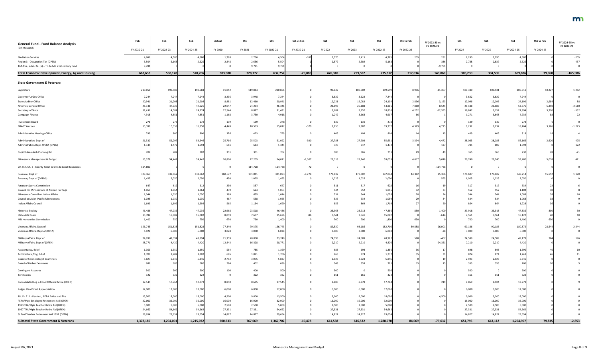| <b>General Fund - Fund Balance Analysis</b>               | Feb        | Feb        | Feb        | Actual  | <b>SS1</b> | <b>SS1</b> | SS1 vs Feb | SS1      | <b>SS1</b> | <b>SS1</b> | SS1 vs Feb | FY 2022-23 vs<br>FY 2020-21 | SS1     | $SS1$   | <b>SS1</b> | SS1 vs Feb | FY 2024-25 vs<br>FY 2022-23 |
|-----------------------------------------------------------|------------|------------|------------|---------|------------|------------|------------|----------|------------|------------|------------|-----------------------------|---------|---------|------------|------------|-----------------------------|
| (\$ in Thousands)                                         | FY 2020-21 | FY 2022-23 | FY 2024-25 | FY 2020 | FY 2021    | FY 2020-21 | FY 2020-21 | FY 2022  | FY 2023    | FY 2022-23 | FY 2022-23 |                             | FY 2024 | FY 2025 | FY 2024-25 | FY 2024-25 |                             |
| <b>Mediation Services</b>                                 | 4,60       | 4,580      | 4,580      | 1,768   | 2,736      | 4,504      | $-102$     | 2,370    | 2,415      | 4,785      | 205        | 281                         | 2,290   | 2,290   | 4,580      |            | $-205$                      |
| Region 3 - Occupation Tax (OPEN)                          | 5,504      | 5,168      | 5,625      | 2,848   | 2,656      | 5,504      |            | 2,579    | 2,589      | 5,168      |            | $-336$                      | 2,788   | 2,837   | 5,625      |            | 457                         |
| 16A.152, Subd. 2a. (6) - Tr. to MN 21st century fund      | 9,781      |            |            |         | 9,781      | 9,781      |            | - 0      |            |            |            | $-9,781$                    |         |         |            |            |                             |
| Total Economic Development, Energy, Ag and Housing        | 662,638    | 558,178    | 570,766    | 303,980 | 328,772    | 632,752    | $-29,886$  | 476,310  | 299,502    | 775,812    | 217,634    | 143,060                     | 305,230 | 304,596 | 609,826    | 39,060     | $-165,986$                  |
|                                                           |            |            |            |         |            |            |            |          |            |            |            |                             |         |         |            |            |                             |
| <b>State Government &amp; Veterans</b>                    |            |            |            |         |            |            |            |          |            |            |            |                             |         |         |            |            |                             |
| Legislature                                               | 210,85     | 190,583    | 190,584    | 91,042  | 119,814    | 210,856    |            | 99,047   | 100,502    | 199,549    | 8,966      | $-11,307$                   | 100,380 | 100,431 | 200,81     | 10,227     | 1,262                       |
| Governor/Lt Gov Office                                    | 7,244      | 7,244      | 7,244      | 3,296   | 3,948      | 7,244      |            | 3,622    | 3,622      | 7,244      |            |                             | 3,622   | 3,622   | 7,244      |            |                             |
| <b>State Auditor Office</b>                               | 20,941     | 21,208     | 21,208     | 8,481   | 12,460     | 20,941     |            | 12,021   | 12,083     | 24,104     | 2,896      | 3,163                       | 12,096  | 12,096  | 24,192     | 2,984      |                             |
| <b>Attorney General Office</b>                            | 46,34      | 47,026     | 47,026     | 22,047  | 24,294     | 46,341     |            | 28,698   | 26,188     | 54,886     | 7,860      | 8,545                       | 26,188  | 26,188  | 52,376     | 5,350      | $-2,510$                    |
| Secretary of State                                        | 31,43      | 14,584     | 24,274     | 22,544  | 8,887      | 31,431     |            | 9,684    | 9,152      | 18,836     | 4,252      | $-12,595$                   | 18,842  | 9,152   | 27,994     | 3,720      | $-532$                      |
| Campaign Finance                                          | 4,91       | 4,851      | 4,851      | 1,168   | 3,750      | 4,918      |            | 1,249    | 3,668      | 4,917      |            |                             | 1,271   | 3,668   | 4,93       |            | 22                          |
| Investment Board                                          | 278        | 278        | 278        | 139     | 139        | 278        |            | 139      | 139        | 278        |            |                             | 139     | 139     | 278        |            |                             |
| <b>MN-IT Services</b>                                     | 15,391     | 15,358     | 15,358     | 4,449   | 10,563     | 15,012     |            | 9,855    | 9,882      | 19,737     | 4,379      | 4,725                       | 9,232   | 9,232   | 18,464     | 3,106      | $-1,273$                    |
| Administrative Hearings Office                            |            | 800        | 800        | 376     | 423        | 79         |            | 405      | 409        |            |            |                             | 409     | 409     |            |            |                             |
| Administration, Dept of                                   | 51,33      | 52,297     | 53,546     | 25,716  | 25,503     | 51,092     | $-300$     | 27,788   | 27,903     | 55,691     | 3,394      | 4,472                       | 28,083  | 28,083  | 56,166     | 2,620      | 475                         |
| Administration Dept, WCRA (OPEN)                          | 1,345      | 1,472      | 1,594      | 661     | 684        | 1,345      |            | 725      | 747        | 1,472      |            |                             | 785     | 809     | 1,594      |            | 122                         |
|                                                           |            |            |            |         |            |            |            |          |            |            |            |                             |         |         |            |            |                             |
| Capitol Area Arch Planning Bd                             |            | 702        | 702        | 351     | 351        | 70         |            | 386      | 365        |            |            |                             | 365     | 365     |            |            | $-21$                       |
| Minnesota Management & Budget                             | 55,37      | 54,442     | 54,442     | 26,806  | 27,205     | 54,011     | $-1,367$   | 29,319   | 29,740     | 59,05      | 4,61       | 5,048                       | 29,740  | 29,740  | 59,480     | 5,038      | 421                         |
| 20, SS7, Ch. 2 - County Relief Grants to Local Businesses | 114,800    |            |            |         | 114,728    | 114,728    |            | $\Omega$ |            |            |            | $-114,728$                  |         |         |            |            |                             |
| Revenue, Dept of                                          | 329,367    | 332,662    | 332,662    | 160,677 | 161,011    | 321,093    | $-8,274$   | 173,437  | 173,607    | 347,044    | 14,382     | 25,356                      | 174,607 | 173,607 | 348,21     | 15,552     | 1,170                       |
| Revenue, Dept of (OPENS)                                  | 1,455      | 2,050      | 2,050      | 430     | 1,025      | 1,455      |            | 1,025    | 1,025      | 2,050      |            | 595                         | 1,025   | 1,025   | 2,050      |            |                             |
| <b>Amateur Sports Commission</b>                          |            | 612        | 612        | 290     | 357        | 64         |            | 311      | 317        |            |            |                             | 317     | 317     | 63         |            |                             |
| Council for Minnesotans of African Heritage               | 1,063      | 1,064      | 1,064      | 439     | 624        | 1,063      |            | 544      | 552        | 1,096      |            |                             | 552     | 552     | 1,104      |            |                             |
| Minnesota Council on Latino Affairs                       | 1,044      | 1,050      | 1,050      | 389     | 655        | 1,044      |            | 534      | 544        | 1,078      |            |                             | 544     | 544     | 1,088      |            |                             |
| Council on Asian-Pacific Minnesotans                      | 1,025      | 1,030      | 1,030      | 487     | 538        | 1,025      |            | 525      | 534        | 1,059      |            |                             | 534     | 534     | 1,068      |            |                             |
| Indian Affairs Council                                    | 1,69       | 1,692      | 1,692      | 565     | 1,134      | 1,699      |            | 855      | 864        | 1,719      |            |                             | 864     | 864     | 1,728      |            |                             |
| <b>Historical Society</b>                                 | 46,486     | 47,036     | 47,036     | 22,968  | 23,518     | 46,486     |            | 23,968   | 23,918     | 47,886     |            | 1,400                       | 23,918  | 23,918  | 47,836     |            |                             |
| State Arts Board                                          | 15,782     | 15,082     | 15,082     | 8,059   | 7,637      | 15,696     |            | 7,541    | 7,541      | 15,082     |            |                             | 7,561   | 7,561   | 15,122     |            |                             |
| <b>MN Humanities Commission</b>                           | 1,400      | 750        | 750        | 670     | 730        | 1,400      |            | 700      | 700        | 1,400      |            |                             | 700     | 700     | 1,400      |            |                             |
| Veterans Affairs, Dept of                                 | 156,74     | 151,828    | 151,828    | 77,340  | 79,375     | 156,743    |            | 89,530   | 93,186     | 182,716    | 30,888     | 26,001                      | 90,186  | 90,186  | 180,37     | 28,544     | $-2,344$                    |
| Veterans Affairs, Dept of (OPEN)                          | 6,02       | 6,000      | 6,000      | 3,028   | 3,000      | 6,028      |            | 3,000    | 3,000      | 6,000      |            |                             | 3,000   | 3,000   | 6,000      |            |                             |
|                                                           |            |            |            |         |            |            |            |          |            |            |            |                             |         |         |            |            |                             |
| Military Affairs, Dept of                                 | 74,996     | 48,394     | 48,394     | 21,359  | 28,030     | 73,740     |            | 24,393   | 24,589     | 48,982     |            | $-40.$                      | 24,589  | 24,589  | 49,17      |            |                             |
| Military Affairs, Dept of (OPEN)                          | 28,77      | 4,420      | 4,420      | 12,443  | 16,328     | 28,771     |            | 2,210    | 2,210      | 4,420      |            | $-24,351$                   | 2,210   | 2,210   | 4,420      |            |                             |
| Accountancy, Bd of                                        | 1,36       | 1,350      | 1,350      | 584     | 785        | 1,369      |            | 688      | 698        | 1,386      |            |                             | 698     | 698     | 1,396      |            |                             |
| Architectural/Eng, Bd of                                  | 1,706      | 1,702      | 1,702      | 685     | 1,021      | 1,706      |            | 863      | 874        | 1,737      |            |                             | 874     | 874     | 1,748      |            |                             |
| <b>Board of Cosmetologist Examiners</b>                   | 5,82       | 5,846      | 5,846      | 2,752   | 3,075      | 5,827      |            | 2,923    | 2,923      | 5,846      |            |                             | 2,923   | 2,923   | 5,846      |            |                             |
| <b>Board of Barber Examiners</b>                          |            |            | 686        | 284     | 402        | -68        |            | 348      | 353        |            |            |                             | 353     | 353     | 706        |            |                             |
| <b>Contingent Accounts</b>                                |            | 500        | 500        | 100     | 400        |            |            | 500      |            |            |            |                             | 500     |         | 500        |            |                             |
| <b>Tort Claims</b>                                        |            | 322        | 322        | - 0     | 322        | 322        |            | 161      | 161        |            |            |                             | 161     | 161     |            |            |                             |
| Consolidated Leg & Const Officers Retire (OPEN)           | 17,545     | 17,764     | 17,773     | 8,850   | 8,695      | 17,545     |            | 8,886    | 8,878      | 17,764     |            | 219                         | 8,869   | 8,904   | 17,773     |            |                             |
| Judges Plan Direct Appropriation                          | 12,000     | 12,000     | 12,000     | 6,000   | 6,000      | 12,000     |            | 6,000    | 6,000      | 12,000     |            |                             | 6,000   | 6,000   | 12,000     |            |                             |
| 18, CH 211 - Pension, PERA Police and Fire                | 13,500     | 18,000     | 18,000     | 4,500   | 9,000      | 13,500     |            | 9,000    | 9,000      | 18,000     |            | 4,500                       | 9,000   | 9,000   | 18,000     |            |                             |
| PERA/Mpls Employee Retirement Aid (OPEN)                  | 32,000     | 32,000     | 32,000     | 16,000  | 16,000     | 32,000     |            | 16,000   | 16,000     | 32,000     |            |                             | 16,000  | 16,000  | 32,000     |            |                             |
| 1993 TRA/Mpls Teacher Retire Aid (OPEN)                   | 5,000      | 5,000      | 5,000      | 2,500   | 2,500      | 5,000      |            | 2,500    | 2,500      | 5,000      |            |                             | 2,500   | 2,500   | 5,000      |            |                             |
| 1997 TRA/Mpls Teacher Retire Aid (OPEN)                   | 54,662     | 54,662     | 54,662     | 27,331  | 27,331     | 54,662     |            | 27,331   | 27,331     | 54,662     |            |                             | 27,331  | 27,331  | 54,662     |            |                             |
| St Paul Teacher Retirement Aid 1997 (OPEN)                | 29,654     | 29,654     | 29,654     | 14,827  | 14,827     | 29,654     |            | 14,827   | 14,827     | 29,654     |            |                             | 14,827  | 14,827  | 29,654     |            |                             |
| <b>Subtotal State Government &amp; Veterans</b>           | 1,378,180  | 1,204,001  | 1,215,072  | 600,633 | 767,069    | 1,367,702  | $-10,478$  | 641,538  | 646,532    | 1,288,070  | 84,069     | $-79,632$                   | 651,795 | 643,112 | 1,294,907  | 79,835     | $-2,853$                    |